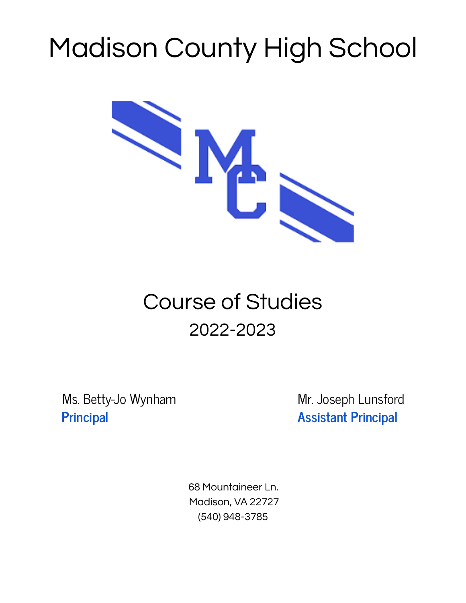# Madison County High School



# Course of Studies 2022-2023

Ms. Betty-Jo Wynham Mr. Joseph Lunsford **Principal Assistant Principal**

68 Mountaineer Ln. Madison, VA 22727 (540) 948-3785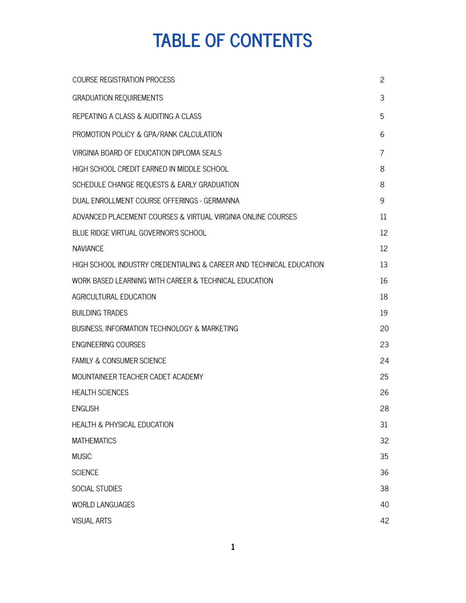# **TABLE OF CONTENTS**

| <b>COURSE REGISTRATION PROCESS</b>                                  | $\overline{c}$ |
|---------------------------------------------------------------------|----------------|
| <b>GRADUATION REQUIREMENTS</b>                                      | 3              |
| REPEATING A CLASS & AUDITING A CLASS                                | 5              |
| PROMOTION POLICY & GPA/RANK CALCULATION                             | 6              |
| VIRGINIA BOARD OF EDUCATION DIPLOMA SEALS                           | 7              |
| HIGH SCHOOL CREDIT EARNED IN MIDDLE SCHOOL                          | 8              |
| SCHEDULE CHANGE REQUESTS & EARLY GRADUATION                         | 8              |
| DUAL ENROLLMENT COURSE OFFERINGS - GERMANNA                         | 9              |
| ADVANCED PLACEMENT COURSES & VIRTUAL VIRGINIA ONLINE COURSES        | 11             |
| BLUE RIDGE VIRTUAL GOVERNOR'S SCHOOL                                | 12             |
| <b>NAVIANCE</b>                                                     | 12             |
| HIGH SCHOOL INDUSTRY CREDENTIALING & CAREER AND TECHNICAL EDUCATION | 13             |
| WORK BASED LEARNING WITH CAREER & TECHNICAL EDUCATION               | 16             |
| AGRICULTURAL EDUCATION                                              | 18             |
| <b>BUILDING TRADES</b>                                              | 19             |
| BUSINESS, INFORMATION TECHNOLOGY & MARKETING                        | 20             |
| <b>ENGINEERING COURSES</b>                                          | 23             |
| <b>FAMILY &amp; CONSUMER SCIENCE</b>                                | 24             |
| MOUNTAINEER TEACHER CADET ACADEMY                                   | 25             |
| <b>HEALTH SCIENCES</b>                                              | 26             |
| <b>ENGLISH</b>                                                      | 28             |
| <b>HEALTH &amp; PHYSICAL EDUCATION</b>                              | 31             |
| <b>MATHEMATICS</b>                                                  | 32             |
| <b>MUSIC</b>                                                        | 35             |
| <b>SCIENCE</b>                                                      | 36             |
| <b>SOCIAL STUDIES</b>                                               | 38             |
| <b>WORLD LANGUAGES</b>                                              | 40             |
| <b>VISUAL ARTS</b>                                                  | 42             |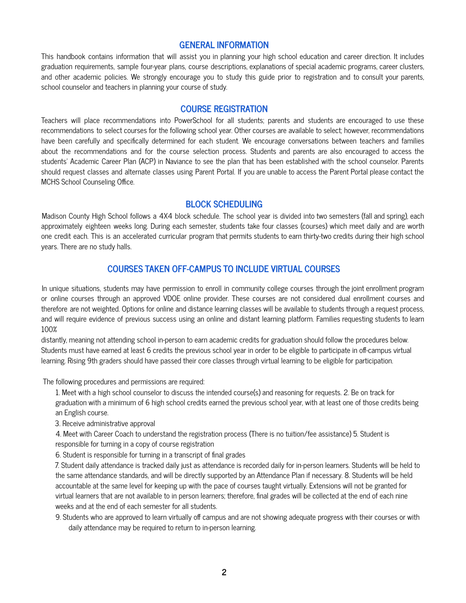# **GENERAL INFORMATION**

This handbook contains information that will assist you in planning your high school education and career direction. It includes graduation requirements, sample four-year plans, course descriptions, explanations of special academic programs, career clusters, and other academic policies. We strongly encourage you to study this guide prior to registration and to consult your parents, school counselor and teachers in planning your course of study.

# **COURSE REGISTRATION**

Teachers will place recommendations into PowerSchool for all students; parents and students are encouraged to use these recommendations to select courses for the following school year. Other courses are available to select; however, recommendations have been carefully and specifically determined for each student. We encourage conversations between teachers and families about the recommendations and for the course selection process. Students and parents are also encouraged to access the students' Academic Career Plan (ACP) in Naviance to see the plan that has been established with the school counselor. Parents should request classes and alternate classes using Parent Portal. If you are unable to access the Parent Portal please contact the MCHS School Counseling Office.

# **BLOCK SCHEDULING**

Madison County High School follows a 4X4 block schedule. The school year is divided into two semesters (fall and spring), each approximately eighteen weeks long. During each semester, students take four classes (courses) which meet daily and are worth one credit each. This is an accelerated curricular program that permits students to earn thirty-two credits during their high school years. There are no study halls.

# **COURSES TAKEN OFF-CAMPUS TO INCLUDE VIRTUAL COURSES**

In unique situations, students may have permission to enroll in community college courses through the joint enrollment program or online courses through an approved VDOE online provider. These courses are not considered dual enrollment courses and therefore are not weighted. Options for online and distance learning classes will be available to students through a request process, and will require evidence of previous success using an online and distant learning platform. Families requesting students to learn 100%

distantly, meaning not attending school in-person to earn academic credits for graduation should follow the procedures below. Students must have earned at least 6 credits the previous school year in order to be eligible to participate in off-campus virtual learning. Rising 9th graders should have passed their core classes through virtual learning to be eligible for participation.

The following procedures and permissions are required:

1. Meet with a high school counselor to discuss the intended course(s) and reasoning for requests. 2. Be on track for graduation with a minimum of 6 high school credits earned the previous school year, with at least one of those credits being an English course.

3. Receive administrative approval

4. Meet with Career Coach to understand the registration process (There is no tuition/fee assistance) 5. Student is responsible for turning in a copy of course registration

6. Student is responsible for turning in a transcript of final grades

7. Student daily attendance is tracked daily just as attendance is recorded daily for in-person learners. Students will be held to the same attendance standards, and will be directly supported by an Attendance Plan if necessary. 8. Students will be held accountable at the same level for keeping up with the pace of courses taught virtually. Extensions will not be granted for virtual learners that are not available to in person learners; therefore, final grades will be collected at the end of each nine weeks and at the end of each semester for all students.

9. Students who are approved to learn virtually off campus and are not showing adequate progress with their courses or with daily attendance may be required to return to in-person learning.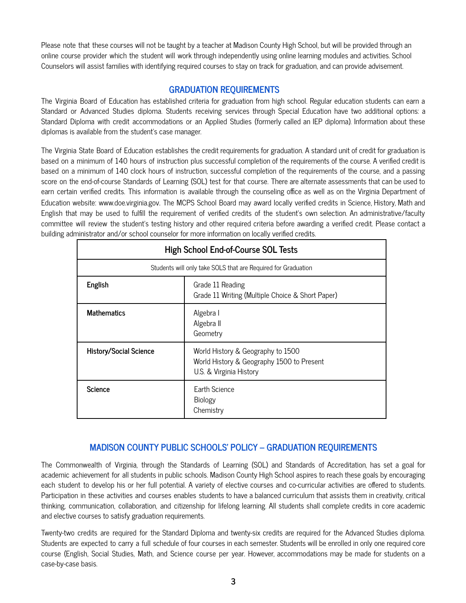Please note that these courses will not be taught by a teacher at Madison County High School, but will be provided through an online course provider which the student will work through independently using online learning modules and activities. School Counselors will assist families with identifying required courses to stay on track for graduation, and can provide advisement.

# **GRADUATION REQUIREMENTS**

The Virginia Board of Education has established criteria for graduation from high school. Regular education students can earn a Standard or Advanced Studies diploma. Students receiving services through Special Education have two additional options: a Standard Diploma with credit accommodations or an Applied Studies (formerly called an IEP diploma). Information about these diplomas is available from the student's case manager.

The Virginia State Board of Education establishes the credit requirements for graduation. A standard unit of credit for graduation is based on a minimum of 140 hours of instruction plus successful completion of the requirements of the course. A verified credit is based on a minimum of 140 clock hours of instruction, successful completion of the requirements of the course, and a passing score on the end-of-course Standards of Learning (SOL) test for that course. There are alternate assessments that can be used to earn certain verified credits. This information is available through the counseling office as well as on the Virginia Department of Education website: www.doe.virginia.gov. The MCPS School Board may award locally verified credits in Science, History, Math and English that may be used to fulfill the requirement of verified credits of the student's own selection. An administrative/faculty committee will review the student's testing history and other required criteria before awarding a verified credit. Please contact a building administrator and/or school counselor for more information on locally verified credits.

| <b>High School End-of-Course SOL Tests</b>                                      |                                                                                                           |  |  |  |  |
|---------------------------------------------------------------------------------|-----------------------------------------------------------------------------------------------------------|--|--|--|--|
|                                                                                 | Students will only take SOLS that are Required for Graduation                                             |  |  |  |  |
| English<br>Grade 11 Reading<br>Grade 11 Writing (Multiple Choice & Short Paper) |                                                                                                           |  |  |  |  |
| <b>Mathematics</b>                                                              | Algebra I<br>Algebra II<br>Geometry                                                                       |  |  |  |  |
| <b>History/Social Science</b>                                                   | World History & Geography to 1500<br>World History & Geography 1500 to Present<br>U.S. & Virginia History |  |  |  |  |
| <b>Science</b>                                                                  | <b>Farth Science</b><br>Biology<br>Chemistry                                                              |  |  |  |  |

# **MADISON COUNTY PUBLIC SCHOOLS' POLICY – GRADUATION REQUIREMENTS**

The Commonwealth of Virginia, through the Standards of Learning (SOL) and Standards of Accreditation, has set a goal for academic achievement for all students in public schools. Madison County High School aspires to reach these goals by encouraging each student to develop his or her full potential. A variety of elective courses and co-curricular activities are offered to students. Participation in these activities and courses enables students to have a balanced curriculum that assists them in creativity, critical thinking, communication, collaboration, and citizenship for lifelong learning. All students shall complete credits in core academic and elective courses to satisfy graduation requirements.

Twenty-two credits are required for the Standard Diploma and twenty-six credits are required for the Advanced Studies diploma. Students are expected to carry a full schedule of four courses in each semester. Students will be enrolled in only one required core course (English, Social Studies, Math, and Science course per year. However, accommodations may be made for students on a case-by-case basis.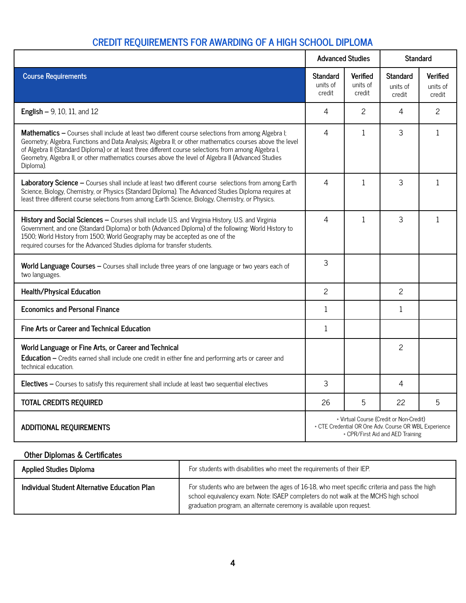# **CREDIT REQUIREMENTS FOR AWARDING OF A HIGH SCHOOL DIPLOMA**

|                                                                                                                                                                                                                                                                                                                                                                                                                                           | <b>Advanced Studies</b>               |                                       | <b>Standard</b>                                                                                                                      |                                       |  |
|-------------------------------------------------------------------------------------------------------------------------------------------------------------------------------------------------------------------------------------------------------------------------------------------------------------------------------------------------------------------------------------------------------------------------------------------|---------------------------------------|---------------------------------------|--------------------------------------------------------------------------------------------------------------------------------------|---------------------------------------|--|
| <b>Course Requirements</b>                                                                                                                                                                                                                                                                                                                                                                                                                | <b>Standard</b><br>units of<br>credit | <b>Verified</b><br>units of<br>credit | <b>Standard</b><br>units of<br>credit                                                                                                | <b>Verified</b><br>units of<br>credit |  |
| <b>English - 9, 10, 11, and 12</b>                                                                                                                                                                                                                                                                                                                                                                                                        | 4                                     | $\overline{c}$                        | 4                                                                                                                                    | 2                                     |  |
| Mathematics - Courses shall include at least two different course selections from among Algebra I;<br>Geometry; Algebra, Functions and Data Analysis; Algebra II; or other mathematics courses above the level<br>of Algebra II (Standard Diploma) or at least three different course selections from among Algebra I,<br>Geometry, Algebra II, or other mathematics courses above the level of Algebra II (Advanced Studies<br>Diploma). | 4                                     | $\mathbf{1}$                          | 3                                                                                                                                    | 1                                     |  |
| Laboratory Science - Courses shall include at least two different course selections from among Earth<br>Science, Biology, Chemistry, or Physics (Standard Diploma). The Advanced Studies Diploma requires at<br>least three different course selections from among Earth Science, Biology, Chemistry, or Physics.                                                                                                                         | 4                                     | 1                                     | 3                                                                                                                                    | $\mathbf{1}$                          |  |
| History and Social Sciences - Courses shall include U.S. and Virginia History, U.S. and Virginia<br>Government, and one (Standard Diploma) or both (Advanced Diploma) of the following: World History to<br>1500; World History from 1500; World Geography may be accepted as one of the<br>required courses for the Advanced Studies diploma for transfer students.                                                                      | 4                                     | 1                                     | 3                                                                                                                                    | 1                                     |  |
| World Language Courses - Courses shall include three years of one language or two years each of<br>two languages.                                                                                                                                                                                                                                                                                                                         | 3                                     |                                       |                                                                                                                                      |                                       |  |
| <b>Health/Physical Education</b>                                                                                                                                                                                                                                                                                                                                                                                                          | 2                                     |                                       | 2                                                                                                                                    |                                       |  |
| <b>Economics and Personal Finance</b>                                                                                                                                                                                                                                                                                                                                                                                                     | $\mathbf{1}$                          |                                       | $\mathbf{1}$                                                                                                                         |                                       |  |
| Fine Arts or Career and Technical Education                                                                                                                                                                                                                                                                                                                                                                                               | 1                                     |                                       |                                                                                                                                      |                                       |  |
| World Language or Fine Arts, or Career and Technical<br>Education - Credits earned shall include one credit in either fine and performing arts or career and<br>technical education.                                                                                                                                                                                                                                                      |                                       |                                       | 2                                                                                                                                    |                                       |  |
| Electives - Courses to satisfy this requirement shall include at least two sequential electives                                                                                                                                                                                                                                                                                                                                           | 3                                     |                                       | 4                                                                                                                                    |                                       |  |
| <b>TOTAL CREDITS REQUIRED</b>                                                                                                                                                                                                                                                                                                                                                                                                             | 26                                    | 5                                     | 22                                                                                                                                   | 5                                     |  |
| <b>ADDITIONAL REQUIREMENTS</b>                                                                                                                                                                                                                                                                                                                                                                                                            |                                       |                                       | * Virtual Course (Credit or Non-Credit)<br>* CTE Credential OR One Adv. Course OR WBL Experience<br>* CPR/First Aid and AED Training |                                       |  |

# **Other Diplomas & Certificates**

| <b>Applied Studies Diploma</b>                | For students with disabilities who meet the requirements of their IEP.                                                                                                                                                                                      |
|-----------------------------------------------|-------------------------------------------------------------------------------------------------------------------------------------------------------------------------------------------------------------------------------------------------------------|
| Individual Student Alternative Education Plan | For students who are between the ages of 16-18, who meet specific criteria and pass the high<br>school equivalency exam. Note: ISAEP completers do not walk at the MCHS high school<br>graduation program, an alternate ceremony is available upon request. |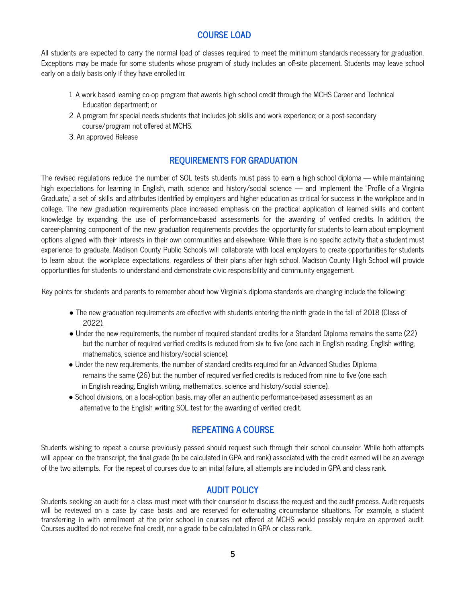# **COURSE LOAD**

All students are expected to carry the normal load of classes required to meet the minimum standards necessary for graduation. Exceptions may be made for some students whose program of study includes an off-site placement. Students may leave school early on a daily basis only if they have enrolled in:

- 1. A work based learning co-op program that awards high school credit through the MCHS Career and Technical Education department; or
- 2. A program for special needs students that includes job skills and work experience; or a post-secondary course/program not offered at MCHS.
- 3. An approved Release

# **REQUIREMENTS FOR GRADUATION**

The revised regulations reduce the number of SOL tests students must pass to earn a high school diploma — while maintaining high expectations for learning in English, math, science and history/social science — and implement the "Profile of a Virginia Graduate," a set of skills and attributes identified by employers and higher education as critical for success in the workplace and in college. The new graduation requirements place increased emphasis on the practical application of learned skills and content knowledge by expanding the use of performance-based assessments for the awarding of verified credits. In addition, the career-planning component of the new graduation requirements provides the opportunity for students to learn about employment options aligned with their interests in their own communities and elsewhere. While there is no specific activity that a student must experience to graduate, Madison County Public Schools will collaborate with local employers to create opportunities for students to learn about the workplace expectations, regardless of their plans after high school. Madison County High School will provide opportunities for students to understand and demonstrate civic responsibility and community engagement.

Key points for students and parents to remember about how Virginia's diploma standards are changing include the following:

- The new graduation requirements are effective with students entering the ninth grade in the fall of 2018 (Class of 2022).
- Under the new requirements, the number of required standard credits for a Standard Diploma remains the same (22) but the number of required verified credits is reduced from six to five (one each in English reading, English writing, mathematics, science and history/social science).
- Under the new requirements, the number of standard credits required for an Advanced Studies Diploma remains the same (26) but the number of required verified credits is reduced from nine to five (one each in English reading, English writing, mathematics, science and history/social science).
- School divisions, on a local-option basis, may offer an authentic performance-based assessment as an alternative to the English writing SOL test for the awarding of verified credit.

# **REPEATING A COURSE**

Students wishing to repeat a course previously passed should request such through their school counselor. While both attempts will appear on the transcript, the final grade (to be calculated in GPA and rank) associated with the credit earned will be an average of the two attempts. For the repeat of courses due to an initial failure, all attempts are included in GPA and class rank.

# **AUDIT POLICY**

Students seeking an audit for a class must meet with their counselor to discuss the request and the audit process. Audit requests will be reviewed on a case by case basis and are reserved for extenuating circumstance situations. For example, a student transferring in with enrollment at the prior school in courses not offered at MCHS would possibly require an approved audit. Courses audited do not receive final credit, nor a grade to be calculated in GPA or class rank..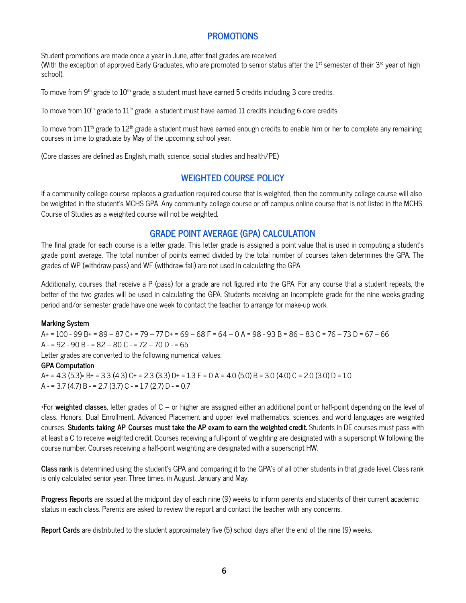# **PROMOTIONS**

Student promotions are made once a year in June, after final grades are received.

(With the exception of approved Early Graduates, who are promoted to senior status after the 1st semester of their 3<sup>rd</sup> year of high school).

To move from 9<sup>th</sup> grade to  $10^{\text{th}}$  grade, a student must have earned 5 credits including 3 core credits.

To move from  $10^{\text{th}}$  grade to  $11^{\text{th}}$  grade, a student must have earned  $11$  credits including 6 core credits.

To move from  $11^{\text{th}}$  grade to  $12^{\text{th}}$  grade a student must have earned enough credits to enable him or her to complete any remaining courses in time to graduate by May of the upcoming school year.

(Core classes are defined as English, math, science, social studies and health/PE)

# **WEIGHTED COURSE POLICY**

If a community college course replaces a graduation required course that is weighted, then the community college course will also be weighted in the student's MCHS GPA. Any community college course or off campus online course that is not listed in the MCHS Course of Studies as a weighted course will not be weighted.

# **GRADE POINT AVERAGE (GPA) CALCULATION**

The final grade for each course is a letter grade. This letter grade is assigned a point value that is used in computing a student's grade point average. The total number of points earned divided by the total number of courses taken determines the GPA. The grades of WP (withdraw-pass) and WF (withdraw-fail) are not used in calculating the GPA.

Additionally, courses that receive a P (pass) for a grade are not figured into the GPA. For any course that a student repeats, the better of the two grades will be used in calculating the GPA. Students receiving an incomplete grade for the nine weeks grading period and/or semester grade have one week to contact the teacher to arrange for make-up work.

#### **Marking System**

A+ = 100 - 99 B+ = 89 – 87 C+ = 79 – 77 D+ = 69 – 68 F = 64 – 0 A = 98 - 93 B = 86 – 83 C = 76 – 73 D = 67 – 66  $A = 92 - 90 B = 82 - 80 C = 72 - 70 D = 65$ 

Letter grades are converted to the following numerical values:

#### **GPA Computation**

 $A+ = 4.3$   $(5.3)* B+ = 3.3$   $(4.3)$   $C+ = 2.3$   $(3.3)$   $D+ = 1.3$   $F = 0$   $A = 4.0$   $(5.0)$   $B = 3.0$   $(4.0)$   $C = 2.0$   $(3.0)$   $D = 1.0$ A - = 3.7 (4.7) B - = 2.7 (3.7) C - = 1.7 (2.7) D - = 0.7

\*For **weighted classes**, letter grades of C – or higher are assigned either an additional point or half-point depending on the level of class. Honors, Dual Enrollment, Advanced Placement and upper level mathematics, sciences, and world languages are weighted courses. **Students taking AP Courses must take the AP exam to earn the weighted credit.** Students in DE courses must pass with at least a C to receive weighted credit. Courses receiving a full-point of weighting are designated with a superscript W following the course number. Courses receiving a half-point weighting are designated with a superscript HW.

**Class rank** is determined using the student's GPA and comparing it to the GPA's of all other students in that grade level. Class rank is only calculated senior year. Three times, in August, January and May.

**Progress Reports** are issued at the midpoint day of each nine (9) weeks to inform parents and students of their current academic status in each class. Parents are asked to review the report and contact the teacher with any concerns.

**Report Cards** are distributed to the student approximately five (5) school days after the end of the nine (9) weeks.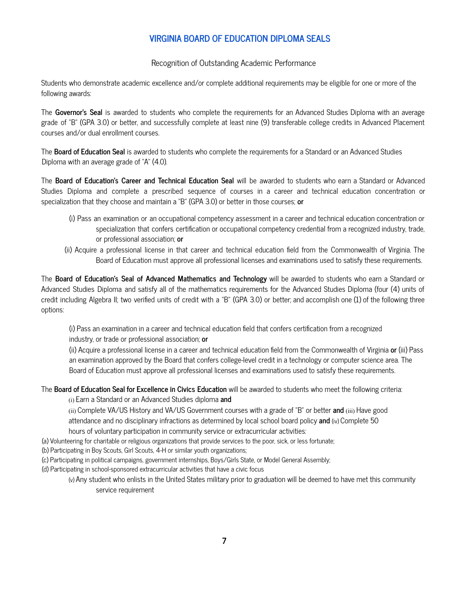# **VIRGINIA BOARD OF EDUCATION DIPLOMA SEALS**

Recognition of Outstanding Academic Performance

Students who demonstrate academic excellence and/or complete additional requirements may be eligible for one or more of the following awards:

The **Governor's Seal** is awarded to students who complete the requirements for an Advanced Studies Diploma with an average grade of "B" (GPA 3.0) or better, and successfully complete at least nine (9) transferable college credits in Advanced Placement courses and/or dual enrollment courses.

The **Board of Education Seal** is awarded to students who complete the requirements for a Standard or an Advanced Studies Diploma with an average grade of "A" (4.0).

The **Board of Education's Career and Technical Education Seal** will be awarded to students who earn a Standard or Advanced Studies Diploma and complete a prescribed sequence of courses in a career and technical education concentration or specialization that they choose and maintain a "B" (GPA 3.0) or better in those courses; **or**

- (i) Pass an examination or an occupational competency assessment in a career and technical education concentration or specialization that confers certification or occupational competency credential from a recognized industry, trade, or professional association; **or**
- (ii) Acquire a professional license in that career and technical education field from the Commonwealth of Virginia. The Board of Education must approve all professional licenses and examinations used to satisfy these requirements.

The **Board of Education's Seal of Advanced Mathematics and Technology** will be awarded to students who earn a Standard or Advanced Studies Diploma and satisfy all of the mathematics requirements for the Advanced Studies Diploma (four (4) units of credit including Algebra II; two verified units of credit with a "B" (GPA 3.0) or better; and accomplish one (1) of the following three options:

(i) Pass an examination in a career and technical education field that confers certification from a recognized industry, or trade or professional association; **or**

(ii) Acquire a professional license in a career and technical education field from the Commonwealth of Virginia **or** (iii) Pass an examination approved by the Board that confers college-level credit in a technology or computer science area. The Board of Education must approve all professional licenses and examinations used to satisfy these requirements.

The **Board of Education Seal for Excellence in Civics Education** will be awarded to students who meet the following criteria:

(i) Earn a Standard or an Advanced Studies diploma **and**

(ii) Complete VA/US History and VA/US Government courses with a grade of "B" or better **and** (iii) Have good attendance and no disciplinary infractions as determined by local school board policy **and** (iv) Complete 50 hours of voluntary participation in community service or extracurricular activities:

- (a) Volunteering for charitable or religious organizations that provide services to the poor, sick, or less fortunate;
- (b) Participating in Boy Scouts, Girl Scouts, 4-H or similar youth organizations;
- (c) Participating in political campaigns, government internships, Boys/Girls State, or Model General Assembly;
- (d) Participating in school-sponsored extracurricular activities that have a civic focus
	- (v) Any student who enlists in the United States military prior to graduation will be deemed to have met this community service requirement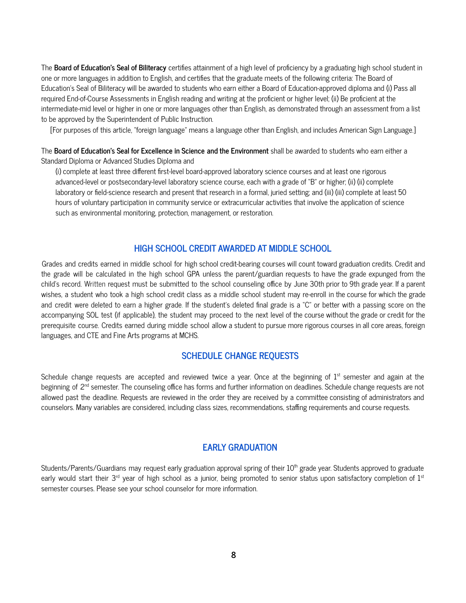The **Board of Education's Seal of Biliteracy** certifies attainment of a high level of proficiency by a graduating high school student in one or more languages in addition to English, and certifies that the graduate meets of the following criteria: The Board of Education's Seal of Biliteracy will be awarded to students who earn either a Board of Education-approved diploma and (i) Pass all required End-of-Course Assessments in English reading and writing at the proficient or higher level; (ii) Be proficient at the intermediate-mid level or higher in one or more languages other than English, as demonstrated through an assessment from a list to be approved by the Superintendent of Public Instruction.

[For purposes of this article, "foreign language" means a language other than English, and includes American Sign Language.]

The **Board of Education's Seal for Excellence in Science and the Environment** shall be awarded to students who earn either a Standard Diploma or Advanced Studies Diploma and

(i) complete at least three different first-level board-approved laboratory science courses and at least one rigorous advanced-level or postsecondary-level laboratory science course, each with a grade of "B" or higher; (ii) (ii) complete laboratory or field-science research and present that research in a formal, juried setting; and (iii) (iii) complete at least 50 hours of voluntary participation in community service or extracurricular activities that involve the application of science such as environmental monitoring, protection, management, or restoration.

# **HIGH SCHOOL CREDIT AWARDED AT MIDDLE SCHOOL**

Grades and credits earned in middle school for high school credit-bearing courses will count toward graduation credits. Credit and the grade will be calculated in the high school GPA unless the parent/guardian requests to have the grade expunged from the child's record. Written request must be submitted to the school counseling office by June 30th prior to 9th grade year. If a parent wishes, a student who took a high school credit class as a middle school student may re-enroll in the course for which the grade and credit were deleted to earn a higher grade. If the student's deleted final grade is a "C" or better with a passing score on the accompanying SOL test (if applicable), the student may proceed to the next level of the course without the grade or credit for the prerequisite course. Credits earned during middle school allow a student to pursue more rigorous courses in all core areas, foreign languages, and CTE and Fine Arts programs at MCHS.

# **SCHEDULE CHANGE REQUESTS**

Schedule change requests are accepted and reviewed twice a year. Once at the beginning of  $1^{\text{st}}$  semester and again at the beginning of 2<sup>nd</sup> semester. The counseling office has forms and further information on deadlines. Schedule change requests are not allowed past the deadline. Requests are reviewed in the order they are received by a committee consisting of administrators and counselors. Many variables are considered, including class sizes, recommendations, staffing requirements and course requests.

#### **EARLY GRADUATION**

Students/Parents/Guardians may request early graduation approval spring of their 10<sup>th</sup> grade year. Students approved to graduate early would start their 3<sup>rd</sup> year of high school as a junior, being promoted to senior status upon satisfactory completion of 1st semester courses. Please see your school counselor for more information.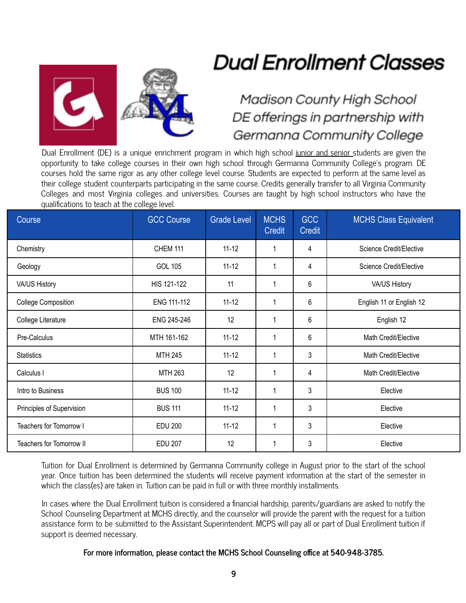

# **Dual Enrollment Classes**

# **Madison County High School** DE offerings in partnership with Germanna Community College

Dual Enrollment (DE) is a unique enrichment program in which high school junior and senior students are given the opportunity to take college courses in their own high school through Germanna Community College's program. DE courses hold the same rigor as any other college level course. Students are expected to perform at the same level as their college student counterparts participating in the same course. Credits generally transfer to all Virginia Community Colleges and most Virginia colleges and universities. Courses are taught by high school instructors who have the qualifications to teach at the college level.

| Course                          | <b>GCC Course</b> | <b>Grade Level</b> | <b>MCHS</b><br><b>Credit</b> | <b>GCC</b><br><b>Credit</b> | <b>MCHS Class Equivalent</b> |
|---------------------------------|-------------------|--------------------|------------------------------|-----------------------------|------------------------------|
| Chemistry                       | <b>CHEM 111</b>   | $11 - 12$          | 1                            | 4                           | Science Credit/Elective      |
| Geology                         | <b>GOL 105</b>    | $11 - 12$          | 1                            | 4                           | Science Credit/Elective      |
| VA/US History                   | HIS 121-122       | 11                 | 1                            | 6                           | VA/US History                |
| <b>College Composition</b>      | ENG 111-112       | $11 - 12$          | 1                            | 6                           | English 11 or English 12     |
| College Literature              | ENG 245-246       | 12                 | 1                            | 6                           | English 12                   |
| Pre-Calculus                    | MTH 161-162       | $11 - 12$          | 1                            | 6                           | Math Credit/Elective         |
| <b>Statistics</b>               | <b>MTH 245</b>    | $11 - 12$          | 1                            | 3                           | Math Credit/Elective         |
| Calculus I                      | MTH 263           | 12                 | 1                            | 4                           | Math Credit/Elective         |
| Intro to Business               | <b>BUS 100</b>    | $11 - 12$          | 1                            | 3                           | Elective                     |
| Principles of Supervision       | <b>BUS 111</b>    | $11 - 12$          | 1                            | 3                           | Elective                     |
| Teachers for Tomorrow I         | <b>EDU 200</b>    | $11 - 12$          | 1                            | 3                           | Elective                     |
| <b>Teachers for Tomorrow II</b> | <b>EDU 207</b>    | 12                 | 1                            | 3                           | Elective                     |

Tuition for Dual Enrollment is determined by Germanna Community college in August prior to the start of the school year. Once tuition has been determined the students will receive payment information at the start of the semester in which the class(es) are taken in. Tuition can be paid in full or with three monthly installments.

In cases where the Dual Enrollment tuition is considered a financial hardship, parents/guardians are asked to notify the School Counseling Department at MCHS directly, and the counselor will provide the parent with the request for a tuition assistance form to be submitted to the Assistant Superintendent. MCPS will pay all or part of Dual Enrollment tuition if support is deemed necessary.

# **For more information, please contact the MCHS School Counseling office at 540-948-3785.**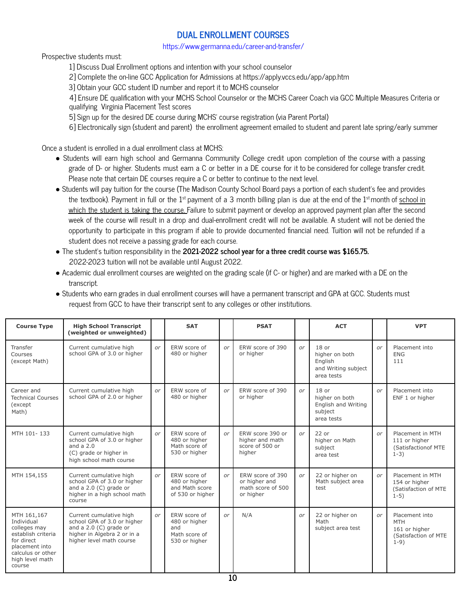# **DUAL ENROLLMENT COURSES**

https://www.germanna.edu/career-and-transfer/

Prospective students must:

1] Discuss Dual Enrollment options and intention with your school counselor

2] Complete the on-line GCC Application for Admissions at https://apply.vccs.edu/app/app.htm

3] Obtain your GCC student ID number and report it to MCHS counselor

4] Ensure DE qualification with your MCHS School Counselor or the MCHS Career Coach via GCC Multiple Measures Criteria or qualifying Virginia Placement Test scores

5] Sign up for the desired DE course during MCHS' course registration (via Parent Portal)

6] Electronically sign (student and parent) the enrollment agreement emailed to student and parent late spring/early summer

Once a student is enrolled in a dual enrollment class at MCHS:

- *●* Students will earn high school and Germanna Community College credit upon completion of the course with a passing grade of D- or higher. Students must earn a C or better in a DE course for it to be considered for college transfer credit. Please note that certain DE courses require a C or better to continue to the next level.
- **●** Students will pay tuition for the course (The Madison County School Board pays a portion of each student's fee and provides the textbook). Payment in full or the 1st payment of a 3 month billing plan is due at the end of the 1st month of <u>school in</u> which the student is taking the course. Failure to submit payment or develop an approved payment plan after the second week of the course will result in a drop and dual-enrollment credit will not be available. A student will not be denied the opportunity to participate in this program if able to provide documented financial need. Tuition will not be refunded if a student does not receive a passing grade for each course.
- **●** The student's tuition responsibility in the **2021-2022 school year for a three credit course was \$165.75.** 2022-2023 tuition will not be available until August 2022.
- Academic dual enrollment courses are weighted on the grading scale (if C- or higher) and are marked with a DE on the transcript.

| • Students who earn grades in dual enrollment courses will have a permanent transcript and GPA at GCC. Students must |
|----------------------------------------------------------------------------------------------------------------------|
| request from GCC to have their transcript sent to any colleges or other institutions.                                |

| <b>Course Type</b>                                                                                                                                | <b>High School Transcript</b><br>(weighted or unweighted)                                                                                     |    | <b>SAT</b>                                                             |            | <b>PSAT</b>                                                         |    | <b>ACT</b>                                                                |    | <b>VPT</b>                                                                      |
|---------------------------------------------------------------------------------------------------------------------------------------------------|-----------------------------------------------------------------------------------------------------------------------------------------------|----|------------------------------------------------------------------------|------------|---------------------------------------------------------------------|----|---------------------------------------------------------------------------|----|---------------------------------------------------------------------------------|
| Transfer<br>Courses<br>(except Math)                                                                                                              | Current cumulative high<br>school GPA of 3.0 or higher                                                                                        | or | ERW score of<br>480 or higher                                          | or         | ERW score of 390<br>or higher                                       | or | $18$ or<br>higher on both<br>English<br>and Writing subject<br>area tests | or | Placement into<br><b>FNG</b><br>111                                             |
| Career and<br><b>Technical Courses</b><br>(except<br>Math)                                                                                        | Current cumulative high<br>school GPA of 2.0 or higher                                                                                        | or | ERW score of<br>480 or higher                                          | or         | ERW score of 390<br>or higher                                       | or | $18$ or<br>higher on both<br>English and Writing<br>subject<br>area tests | or | Placement into<br>ENF 1 or higher                                               |
| MTH 101-133                                                                                                                                       | Current cumulative high<br>school GPA of 3.0 or higher<br>and a $2.0$<br>(C) grade or higher in<br>high school math course                    | or | ERW score of<br>480 or higher<br>Math score of<br>530 or higher        | or         | ERW score 390 or<br>higher and math<br>score of 500 or<br>higher    | or | $22$ or<br>higher on Math<br>subject<br>area test                         | or | Placement in MTH<br>111 or higher<br>(Satisfaction of MTE<br>$1-3)$             |
| MTH 154,155                                                                                                                                       | Current cumulative high<br>school GPA of 3.0 or higher<br>and a $2.0$ (C) grade or<br>higher in a high school math<br>course                  | or | ERW score of<br>480 or higher<br>and Math score<br>of 530 or higher    | $\alpha r$ | ERW score of 390<br>or higher and<br>math score of 500<br>or higher | or | 22 or higher on<br>Math subject area<br>test                              | or | Placement in MTH<br>154 or higher<br>(Satisfaction of MTE<br>$1-5)$             |
| MTH 161,167<br>Individual<br>colleges may<br>establish criteria<br>for direct<br>placement into<br>calculus or other<br>high level math<br>course | Current cumulative high<br>school GPA of 3.0 or higher<br>and a $2.0$ (C) grade or<br>higher in Algebra 2 or in a<br>higher level math course | or | ERW score of<br>480 or higher<br>and<br>Math score of<br>530 or higher | or         | N/A                                                                 | or | 22 or higher on<br>Math<br>subject area test                              | or | Placement into<br><b>MTH</b><br>161 or higher<br>(Satisfaction of MTE<br>$1-9)$ |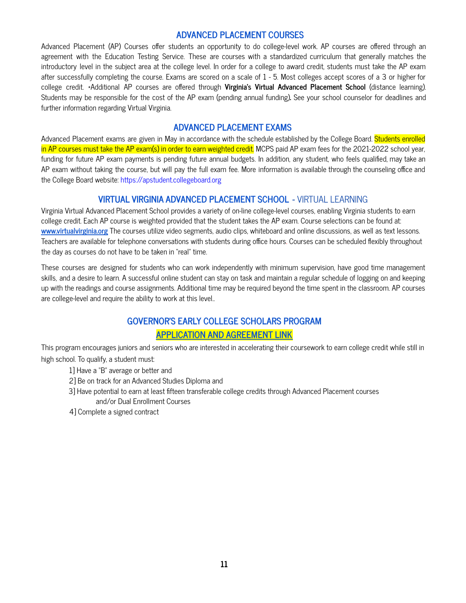# **ADVANCED PLACEMENT COURSES**

Advanced Placement (AP) Courses offer students an opportunity to do college-level work. AP courses are offered through an agreement with the Education Testing Service. These are courses with a standardized curriculum that generally matches the introductory level in the subject area at the college level. In order for a college to award credit, students must take the AP exam after successfully completing the course. Exams are scored on a scale of 1 - 5. Most colleges accept scores of a 3 or higher for college credit. \*Additional AP courses are offered through **Virginia's Virtual Advanced Placement School** (distance learning). Students may be responsible for the cost of the AP exam (pending annual funding)**.** See your school counselor for deadlines and further information regarding Virtual Virginia.

#### **ADVANCED PLACEMENT EXAMS**

Advanced Placement exams are given in May in accordance with the schedule established by the College Board. Students enrolled in AP courses must take the AP exam(s) in order to earn weighted credit. MCPS paid AP exam fees for the 2021-2022 school year, funding for future AP exam payments is pending future annual budgets. In addition, any student, who feels qualified, may take an AP exam without taking the course, but will pay the full exam fee. More information is available through the counseling office and the College Board website: https://apstudent.collegeboard.org

# **VIRTUAL VIRGINIA ADVANCED PLACEMENT SCHOOL -** VIRTUAL LEARNING

Virginia Virtual Advanced Placement School provides a variety of on-line college-level courses, enabling Virginia students to earn college credit. Each AP course is weighted provided that the student takes the AP exam. Course selections can be found at: **[www.virtualvirginia.org](http://www.virtualvirginia.org)** The courses utilize video segments, audio clips, whiteboard and online discussions, as well as text lessons. Teachers are available for telephone conversations with students during office hours. Courses can be scheduled flexibly throughout the day as courses do not have to be taken in "real" time.

These courses are designed for students who can work independently with minimum supervision, have good time management skills, and a desire to learn. A successful online student can stay on task and maintain a regular schedule of logging on and keeping up with the readings and course assignments. Additional time may be required beyond the time spent in the classroom. AP courses are college-level and require the ability to work at this level..

# **GOVERNOR'S EARLY COLLEGE SCHOLARS PROGRAM**

# **APPLICATION AND AGREEMENT LINK**

This program encourages juniors and seniors who are interested in accelerating their coursework to earn college credit while still in high school. To qualify, a student must:

- 1] Have a "B" average or better and
- 2] Be on track for an Advanced Studies Diploma and
- 3] Have potential to earn at least fifteen transferable college credits through Advanced Placement courses and/or Dual Enrollment Courses
- 4] Complete a signed contract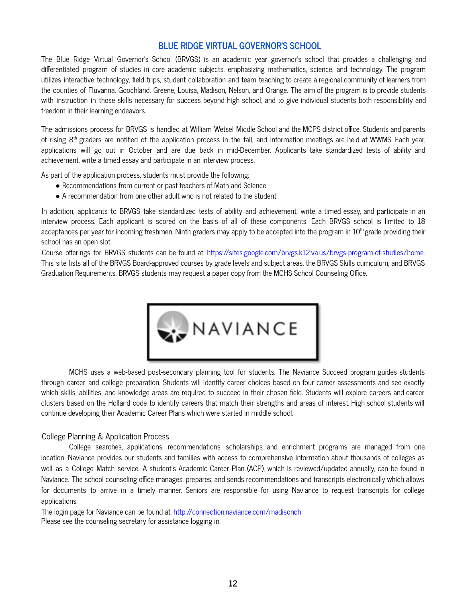# **BLUE RIDGE VIRTUAL GOVERNOR'S SCHOOL**

The Blue Ridge Virtual Governor's School (BRVGS) is an academic year governor's school that provides a challenging and differentiated program of studies in core academic subjects, emphasizing mathematics, science, and technology. The program utilizes interactive technology, field trips, student collaboration and team teaching to create a regional community of learners from the counties of Fluvanna, Goochland, Greene, Louisa, Madison, Nelson, and Orange. The aim of the program is to provide students with instruction in those skills necessary for success beyond high school, and to give individual students both responsibility and freedom in their learning endeavors.

The admissions process for BRVGS is handled at William Wetsel Middle School and the MCPS district office. Students and parents of rising 8<sup>th</sup> graders are notified of the application process in the fall, and information meetings are held at WWMS. Each year, applications will go out in October and are due back in mid-December. Applicants take standardized tests of ability and achievement, write a timed essay and participate in an interview process.

As part of the application process, students must provide the following:

- Recommendations from current or past teachers of Math and Science
- A recommendation from one other adult who is not related to the student

In addition, applicants to BRVGS take standardized tests of ability and achievement, write a timed essay, and participate in an interview process. Each applicant is scored on the basis of all of these components. Each BRVGS school is limited to 18 acceptances per year for incoming freshmen. Ninth graders may apply to be accepted into the program in  $10^{\text{th}}$ grade providing their school has an open slot.

Course offerings for BRVGS students can be found at: https://sites.google.com/brvgs.k12.va.us/brvgs-program-of-studies/home. This site lists all of the BRVGS Board-approved courses by grade levels and subject areas, the BRVGS Skills curriculum, and BRVGS Graduation Requirements. BRVGS students may request a paper copy from the MCHS School Counseling Office.



MCHS uses a web-based post-secondary planning tool for students. The Naviance Succeed program guides students through career and college preparation. Students will identify career choices based on four career assessments and see exactly which skills, abilities, and knowledge areas are required to succeed in their chosen field. Students will explore careers and career clusters based on the Holland code to identify careers that match their strengths and areas of interest. High school students will continue developing their Academic Career Plans which were started in middle school.

#### College Planning & Application Process

College searches, applications, recommendations, scholarships and enrichment programs are managed from one location. Naviance provides our students and families with access to comprehensive information about thousands of colleges as well as a College Match service. A student's Academic Career Plan (ACP), which is reviewed/updated annually, can be found in Naviance. The school counseling office manages, prepares, and sends recommendations and transcripts electronically which allows for documents to arrive in a timely manner. Seniors are responsible for using Naviance to request transcripts for college applications.

The login page for Naviance can be found at: http://connection.naviance.com/madisonch Please see the counseling secretary for assistance logging in.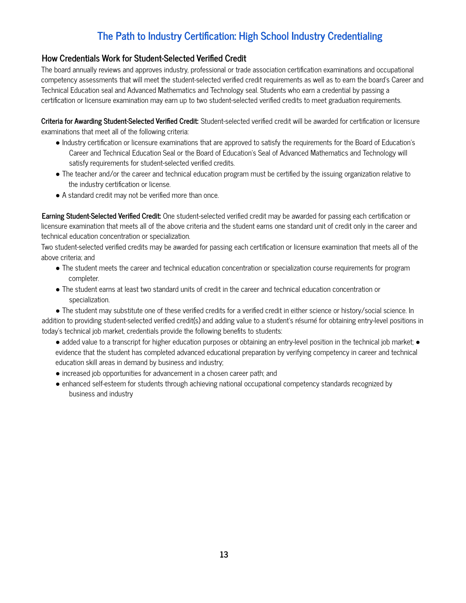# **The Path to Industry Certification: High School Industry Credentialing**

# **How Credentials Work for Student-Selected Verified Credit**

The board annually reviews and approves industry, professional or trade association certification examinations and occupational competency assessments that will meet the student-selected verified credit requirements as well as to earn the board's Career and Technical Education seal and Advanced Mathematics and Technology seal. Students who earn a credential by passing a certification or licensure examination may earn up to two student-selected verified credits to meet graduation requirements.

**Criteria for Awarding Student-Selected Verified Credit:** Student-selected verified credit will be awarded for certification or licensure examinations that meet all of the following criteria:

- Industry certification or licensure examinations that are approved to satisfy the requirements for the Board of Education's Career and Technical Education Seal or the Board of Education's Seal of Advanced Mathematics and Technology will satisfy requirements for student-selected verified credits.
- The teacher and/or the career and technical education program must be certified by the issuing organization relative to the industry certification or license.
- A standard credit may not be verified more than once.

**Earning Student-Selected Verified Credit:** One student-selected verified credit may be awarded for passing each certification or licensure examination that meets all of the above criteria and the student earns one standard unit of credit only in the career and technical education concentration or specialization.

Two student-selected verified credits may be awarded for passing each certification or licensure examination that meets all of the above criteria; and

- The student meets the career and technical education concentration or specialization course requirements for program completer.
- The student earns at least two standard units of credit in the career and technical education concentration or specialization.

● The student may substitute one of these verified credits for a verified credit in either science or history/social science. In addition to providing student-selected verified credit(s) and adding value to a student's résumé for obtaining entry-level positions in today's technical job market, credentials provide the following benefits to students:

- added value to a transcript for higher education purposes or obtaining an entry-level position in the technical job market; evidence that the student has completed advanced educational preparation by verifying competency in career and technical education skill areas in demand by business and industry;
- increased job opportunities for advancement in a chosen career path; and
- enhanced self-esteem for students through achieving national occupational competency standards recognized by business and industry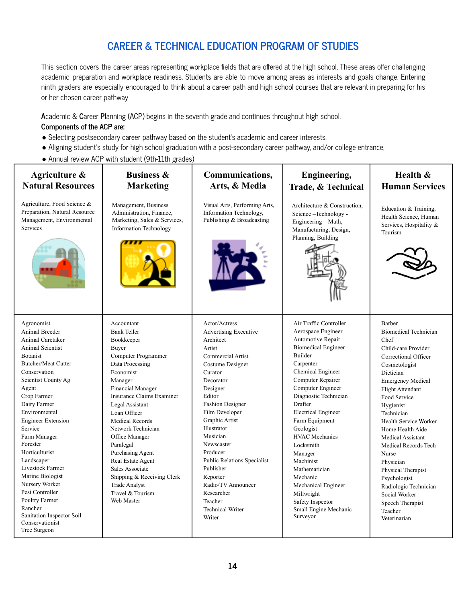# **CAREER & TECHNICAL EDUCATION PROGRAM OF STUDIES**

This section covers the career areas representing workplace fields that are offered at the high school. These areas offer challenging academic preparation and workplace readiness. Students are able to move among areas as interests and goals change. Entering ninth graders are especially encouraged to think about a career path and high school courses that are relevant in preparing for his or her chosen career pathway

Т

Τ

**A**cademic & **C**areer **P**lanning (ACP) begins in the seventh grade and continues throughout high school.

# **Components of the ACP are:**

- Selecting postsecondary career pathway based on the student's academic and career interests,
- Aligning student's study for high school graduation with a post-secondary career pathway, and/or college entrance,
- Annual review ACP with student (9th-11th grades)

| Agriculture &                                                                                                                                                                                                                                                                                                                                                                                                                                                                       | <b>Business &amp;</b>                                                                                                                                                                                                                                                                                                                                                                                                                                    | Communications,                                                                                                                                                                                                                                                                                                                                                                                                                    | <b>Engineering,</b>                                                                                                                                                                                                                                                                                                                                                                                                                                                              | Health &                                                                                                                                                                                                                                                                                                                                                                                                                                                                     |  |  |
|-------------------------------------------------------------------------------------------------------------------------------------------------------------------------------------------------------------------------------------------------------------------------------------------------------------------------------------------------------------------------------------------------------------------------------------------------------------------------------------|----------------------------------------------------------------------------------------------------------------------------------------------------------------------------------------------------------------------------------------------------------------------------------------------------------------------------------------------------------------------------------------------------------------------------------------------------------|------------------------------------------------------------------------------------------------------------------------------------------------------------------------------------------------------------------------------------------------------------------------------------------------------------------------------------------------------------------------------------------------------------------------------------|----------------------------------------------------------------------------------------------------------------------------------------------------------------------------------------------------------------------------------------------------------------------------------------------------------------------------------------------------------------------------------------------------------------------------------------------------------------------------------|------------------------------------------------------------------------------------------------------------------------------------------------------------------------------------------------------------------------------------------------------------------------------------------------------------------------------------------------------------------------------------------------------------------------------------------------------------------------------|--|--|
| <b>Natural Resources</b>                                                                                                                                                                                                                                                                                                                                                                                                                                                            | <b>Marketing</b>                                                                                                                                                                                                                                                                                                                                                                                                                                         | Arts, & Media                                                                                                                                                                                                                                                                                                                                                                                                                      | Trade, & Technical                                                                                                                                                                                                                                                                                                                                                                                                                                                               | <b>Human Services</b>                                                                                                                                                                                                                                                                                                                                                                                                                                                        |  |  |
| Agriculture, Food Science &<br>Preparation, Natural Resource<br>Management, Environmental<br>Services                                                                                                                                                                                                                                                                                                                                                                               | Management, Business<br>Administration, Finance,<br>Marketing, Sales & Services,<br><b>Information Technology</b>                                                                                                                                                                                                                                                                                                                                        | Visual Arts, Performing Arts,<br>Information Technology,<br>Publishing & Broadcasting                                                                                                                                                                                                                                                                                                                                              | Architecture & Construction,<br>Science-Technology-<br>Engineering - Math,<br>Manufacturing, Design,<br>Planning, Building                                                                                                                                                                                                                                                                                                                                                       | Education & Training,<br>Health Science, Human<br>Services, Hospitality &<br>Tourism                                                                                                                                                                                                                                                                                                                                                                                         |  |  |
| Agronomist<br>Animal Breeder<br>Animal Caretaker<br>Animal Scientist<br><b>Botanist</b><br><b>Butcher/Meat Cutter</b><br>Conservation<br>Scientist County Ag<br>Agent<br>Crop Farmer<br>Dairy Farmer<br>Environmental<br><b>Engineer Extension</b><br>Service<br>Farm Manager<br>Forester<br>Horticulturist<br>Landscaper<br>Livestock Farmer<br>Marine Biologist<br>Nursery Worker<br>Pest Controller<br>Poultry Farmer<br>Rancher<br>Sanitation Inspector Soil<br>Conservationist | Accountant<br><b>Bank Teller</b><br>Bookkeeper<br>Buyer<br>Computer Programmer<br>Data Processing<br>Economist<br>Manager<br><b>Financial Manager</b><br>Insurance Claims Examiner<br>Legal Assistant<br>Loan Officer<br><b>Medical Records</b><br>Network Technician<br>Office Manager<br>Paralegal<br>Purchasing Agent<br>Real Estate Agent<br>Sales Associate<br>Shipping & Receiving Clerk<br><b>Trade Analyst</b><br>Travel & Tourism<br>Web Master | Actor/Actress<br><b>Advertising Executive</b><br>Architect<br>Artist<br>Commercial Artist<br>Costume Designer<br>Curator<br>Decorator<br>Designer<br>Editor<br><b>Fashion Designer</b><br>Film Developer<br>Graphic Artist<br>Illustrator<br>Musician<br>Newscaster<br>Producer<br><b>Public Relations Specialist</b><br>Publisher<br>Reporter<br>Radio/TV Announcer<br>Researcher<br>Teacher<br><b>Technical Writer</b><br>Writer | Air Traffic Controller<br>Aerospace Engineer<br>Automotive Repair<br><b>Biomedical Engineer</b><br>Builder<br>Carpenter<br>Chemical Engineer<br>Computer Repairer<br>Computer Engineer<br>Diagnostic Technician<br>Drafter<br><b>Electrical Engineer</b><br>Farm Equipment<br>Geologist<br><b>HVAC</b> Mechanics<br>Locksmith<br>Manager<br>Machinist<br>Mathematician<br>Mechanic<br>Mechanical Engineer<br>Millwright<br>Safety Inspector<br>Small Engine Mechanic<br>Surveyor | <b>Barber</b><br><b>Biomedical Technician</b><br>Chef<br>Child-care Provider<br>Correctional Officer<br>Cosmetologist<br>Dietician<br><b>Emergency Medical</b><br>Flight Attendant<br>Food Service<br>Hygienist<br>Technician<br>Health Service Worker<br>Home Health Aide<br>Medical Assistant<br>Medical Records Tech<br>Nurse<br>Physician<br>Physical Therapist<br>Psychologist<br>Radiologic Technician<br>Social Worker<br>Speech Therapist<br>Teacher<br>Veterinarian |  |  |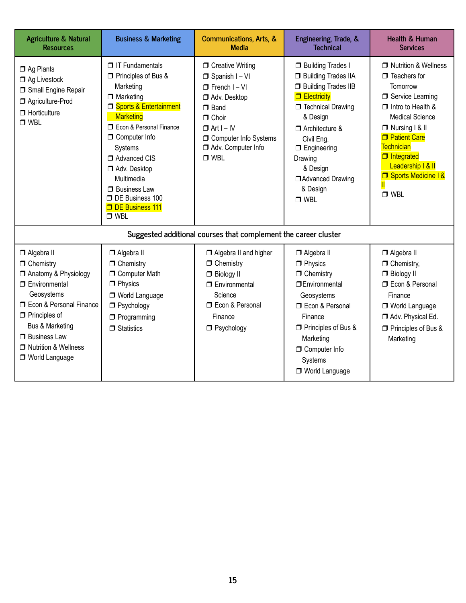| <b>Agriculture &amp; Natural</b><br><b>Resources</b>                                                                                                                                                                                                            | <b>Business &amp; Marketing</b>                                                                                                                                                                                                                                                                                                                     | Communications, Arts, &<br><b>Media</b>                                                                                                                                                                       | Engineering, Trade, &<br><b>Technical</b>                                                                                                                                                                                                                                     | <b>Health &amp; Human</b><br><b>Services</b>                                                                                                                                                                                                                                  |
|-----------------------------------------------------------------------------------------------------------------------------------------------------------------------------------------------------------------------------------------------------------------|-----------------------------------------------------------------------------------------------------------------------------------------------------------------------------------------------------------------------------------------------------------------------------------------------------------------------------------------------------|---------------------------------------------------------------------------------------------------------------------------------------------------------------------------------------------------------------|-------------------------------------------------------------------------------------------------------------------------------------------------------------------------------------------------------------------------------------------------------------------------------|-------------------------------------------------------------------------------------------------------------------------------------------------------------------------------------------------------------------------------------------------------------------------------|
| $\Box$ Ag Plants<br>$\Box$ Ag Livestock<br>Small Engine Repair<br>Agriculture-Prod<br>$\Box$ Horticulture<br>$\Box$ WBL                                                                                                                                         | $\Box$ IT Fundamentals<br>$\Box$ Principles of Bus &<br>Marketing<br>$\Box$ Marketing<br><b>J</b> Sports & Entertainment<br><b>Marketing</b><br><b>T</b> Econ & Personal Finance<br>$\Box$ Computer Info<br>Systems<br>Advanced CIS<br>Adv. Desktop<br>Multimedia<br>$\Box$ Business Law<br>DE Business 100<br><b>DE Business 111</b><br>$\Box$ WBL | □ Creative Writing<br>$\Box$ Spanish I - VI<br>$\Box$ French I - VI<br>Adv. Desktop<br>$\Box$ Band<br>$\Box$ Choir<br>$\Box$ Art I – IV<br><b>O</b> Computer Info Systems<br>Adv. Computer Info<br>$\Box$ WBL | <b>Building Trades I</b><br><b>Building Trades IIA</b><br><b>Building Trades IIB</b><br>$\Box$ Electricity<br>Technical Drawing<br>& Design<br>$\Box$ Architecture &<br>Civil Eng.<br>$\Box$ Engineering<br>Drawing<br>& Design<br>Advanced Drawing<br>& Design<br>$\Box$ WBL | □ Nutrition & Wellness<br>$\Box$ Teachers for<br>Tomorrow<br>Service Learning<br>$\Box$ Intro to Health &<br><b>Medical Science</b><br>□ Nursing   & II<br><b>D</b> Patient Care<br>Technician<br>$\Box$ Integrated<br>Leadership   & II<br>Sports Medicine 1 &<br>$\Box$ WBL |
|                                                                                                                                                                                                                                                                 |                                                                                                                                                                                                                                                                                                                                                     | Suggested additional courses that complement the career cluster                                                                                                                                               |                                                                                                                                                                                                                                                                               |                                                                                                                                                                                                                                                                               |
| □ Algebra II<br>$\Box$ Chemistry<br>□ Anatomy & Physiology<br>$\Box$ Environmental<br>Geosystems<br><b>D</b> Econ & Personal Finance<br>$\Box$ Principles of<br><b>Bus &amp; Marketing</b><br>$\Box$ Business Law<br>□ Nutrition & Wellness<br>□ World Language | □ Algebra II<br>$\Box$ Chemistry<br><b>O</b> Computer Math<br>$\Box$ Physics<br>□ World Language<br>Psychology<br>$\Box$ Programming<br>$\Box$ Statistics                                                                                                                                                                                           | Algebra II and higher<br>$\Box$ Chemistry<br>$\Box$ Biology II<br>$\Box$ Environmental<br>Science<br><b>T</b> Econ & Personal<br>Finance<br>□ Psychology                                                      | □ Algebra II<br>$\Box$ Physics<br>$\Box$ Chemistry<br><b>IDEnvironmental</b><br>Geosystems<br><b>ID</b> Econ & Personal<br>Finance<br>□ Principles of Bus &<br>Marketing<br><b>O</b> Computer Info<br>Systems<br>□ World Language                                             | □ Algebra II<br>$\Box$ Chemistry,<br>$\Box$ Biology II<br><b>T</b> Econ & Personal<br>Finance<br>□ World Language<br>Adv. Physical Ed.<br>Principles of Bus &<br>Marketing                                                                                                    |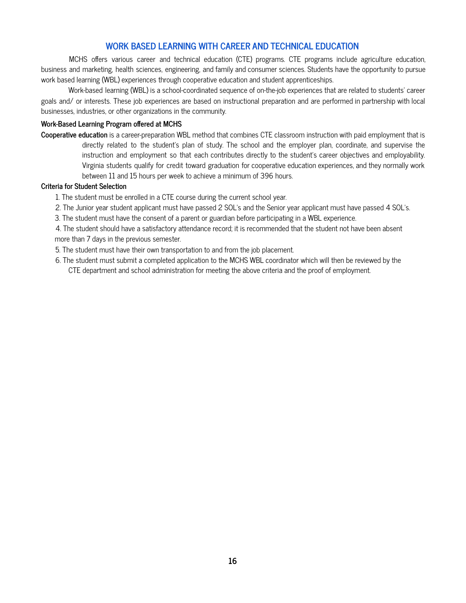# **WORK BASED LEARNING WITH CAREER AND TECHNICAL EDUCATION**

MCHS offers various career and technical education (CTE) programs. CTE programs include agriculture education, business and marketing, health sciences, engineering, and family and consumer sciences. Students have the opportunity to pursue work based learning (WBL) experiences through cooperative education and student apprenticeships.

Work-based learning (WBL) is a school-coordinated sequence of on-the-job experiences that are related to students' career goals and/ or interests. These job experiences are based on instructional preparation and are performed in partnership with local businesses, industries, or other organizations in the community.

#### **Work-Based Learning Program offered at MCHS**

**Cooperative education** is a career-preparation WBL method that combines CTE classroom instruction with paid employment that is directly related to the student's plan of study. The school and the employer plan, coordinate, and supervise the instruction and employment so that each contributes directly to the student's career objectives and employability. Virginia students qualify for credit toward graduation for cooperative education experiences, and they normally work between 11 and 15 hours per week to achieve a minimum of 396 hours.

#### **Criteria for Student Selection**

- 1. The student must be enrolled in a CTE course during the current school year.
- 2. The Junior year student applicant must have passed 2 SOL's and the Senior year applicant must have passed 4 SOL's.
- 3. The student must have the consent of a parent or guardian before participating in a WBL experience.
- 4. The student should have a satisfactory attendance record; it is recommended that the student not have been absent more than 7 days in the previous semester.
- 5. The student must have their own transportation to and from the job placement.
- 6. The student must submit a completed application to the MCHS WBL coordinator which will then be reviewed by the CTE department and school administration for meeting the above criteria and the proof of employment.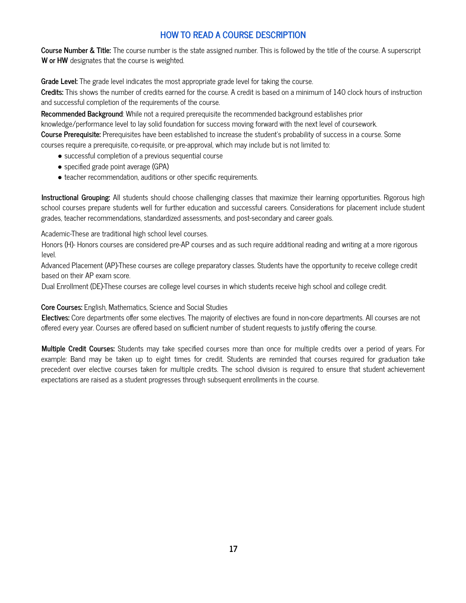# **HOW TO READ A COURSE DESCRIPTION**

**Course Number & Title:** The course number is the state assigned number. This is followed by the title of the course. A superscript **W or HW** designates that the course is weighted.

**Grade Level:** The grade level indicates the most appropriate grade level for taking the course.

**Credits:** This shows the number of credits earned for the course. A credit is based on a minimum of 140 clock hours of instruction and successful completion of the requirements of the course.

**Recommended Background**: While not a required prerequisite the recommended background establishes prior knowledge/performance level to lay solid foundation for success moving forward with the next level of coursework.

**Course Prerequisite:** Prerequisites have been established to increase the student's probability of success in a course. Some courses require a prerequisite, co-requisite, or pre-approval, which may include but is not limited to:

- successful completion of a previous sequential course
- specified grade point average (GPA)
- teacher recommendation, auditions or other specific requirements.

**Instructional Grouping:** All students should choose challenging classes that maximize their learning opportunities. Rigorous high school courses prepare students well for further education and successful careers. Considerations for placement include student grades, teacher recommendations, standardized assessments, and post-secondary and career goals.

Academic-These are traditional high school level courses.

Honors (H)-Honors courses are considered pre-AP courses and as such require additional reading and writing at a more rigorous level.

Advanced Placement (AP)-These courses are college preparatory classes. Students have the opportunity to receive college credit based on their AP exam score.

Dual Enrollment (DE)-These courses are college level courses in which students receive high school and college credit.

**Core Courses:** English, Mathematics, Science and Social Studies

**Electives:** Core departments offer some electives. The majority of electives are found in non-core departments. All courses are not offered every year. Courses are offered based on sufficient number of student requests to justify offering the course.

**Multiple Credit Courses:** Students may take specified courses more than once for multiple credits over a period of years. For example: Band may be taken up to eight times for credit. Students are reminded that courses required for graduation take precedent over elective courses taken for multiple credits. The school division is required to ensure that student achievement expectations are raised as a student progresses through subsequent enrollments in the course.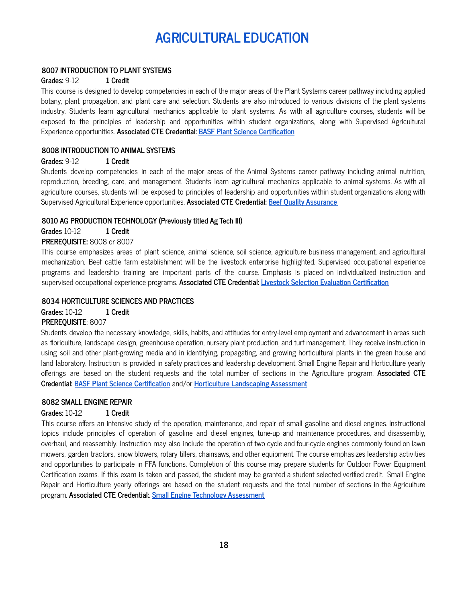# **AGRICULTURAL EDUCATION**

#### **8007 INTRODUCTION TO PLANT SYSTEMS**

#### **Grades:** 9-12 **1 Credit**

This course is designed to develop competencies in each of the major areas of the Plant Systems career pathway including applied botany, plant propagation, and plant care and selection. Students are also introduced to various divisions of the plant systems industry. Students learn agricultural mechanics applicable to plant systems. As with all agriculture courses, students will be exposed to the principles of leadership and opportunities within student organizations, along with Supervised Agricultural Experience opportunities. **Associated CTE Credential: BASF Plant Science [Certification](https://agriculture.basf.us/community-relations/educational-resources/plant-science-certification.html)**

#### **8008 INTRODUCTION TO ANIMAL SYSTEMS**

#### **Grades:** 9-12 **1 Credit**

Students develop competencies in each of the major areas of the Animal Systems career pathway including animal nutrition, reproduction, breeding, care, and management. Students learn agricultural mechanics applicable to animal systems. As with all agriculture courses, students will be exposed to principles of leadership and opportunities within student organizations along with Supervised Agricultural Experience opportunities. **Associated CTE Credential: Beef Quality [Assurance](https://www.bqa.org/beef-quality-assurance-certification)**

#### **8010 AG PRODUCTION TECHNOLOGY (Previously titled Ag Tech III)**

**Grades** 10-12 **1 Credit**

#### **PREREQUISITE:** 8008 or 8007

This course emphasizes areas of plant science, animal science, soil science, agriculture business management, and agricultural mechanization. Beef cattle farm establishment will be the livestock enterprise highlighted. Supervised occupational experience programs and leadership training are important parts of the course. Emphasis is placed on individualized instruction and supervised occupational experience programs. **Associated CTE Credential: Livestock Selection Evaluation [Certification](https://www.icevonline.com/industry-certifications/nclca-principles-livestock-selection-evaluation)**

#### **8034 HORTICULTURE SCIENCES AND PRACTICES**

**Grades:** 10-12 **1 Credit**

#### **PREREQUISITE**: 8007

Students develop the necessary knowledge, skills, habits, and attitudes for entry-level employment and advancement in areas such as floriculture, landscape design, greenhouse operation, nursery plant production, and turf management. They receive instruction in using soil and other plant-growing media and in identifying, propagating, and growing horticultural plants in the green house and land laboratory. Instruction is provided in safety practices and leadership development. Small Engine Repair and Horticulture yearly offerings are based on the student requests and the total number of sections in the Agriculture program. **Associated CTE Credential: BASF Plant Science [Certification](https://agriculture.basf.us/community-relations/educational-resources/plant-science-certification.html)** and/or **Horticulture [Landscaping](https://www.nocti.org/wp-content/uploads/2020/09/JRHortLand4149.pdf) Assessment**

#### **8082 SMALL ENGINE REPAIR**

#### **Grades:** 10-12 **1 Credit**

This course offers an intensive study of the operation, maintenance, and repair of small gasoline and diesel engines. Instructional topics include principles of operation of gasoline and diesel engines, tune-up and maintenance procedures, and disassembly, overhaul, and reassembly. Instruction may also include the operation of two cycle and four-cycle engines commonly found on lawn mowers, garden tractors, snow blowers, rotary tillers, chainsaws, and other equipment. The course emphasizes leadership activities and opportunities to participate in FFA functions. Completion of this course may prepare students for Outdoor Power Equipment Certification exams. If this exam is taken and passed, the student may be granted a student selected verified credit. Small Engine Repair and Horticulture yearly offerings are based on the student requests and the total number of sections in the Agriculture program. **Associated CTE Credential:**. **Small Engine Technology [Assessment](https://www.nocti.org/wp-content/uploads/2020/10/TeacherSmEngTech5277.pdf)**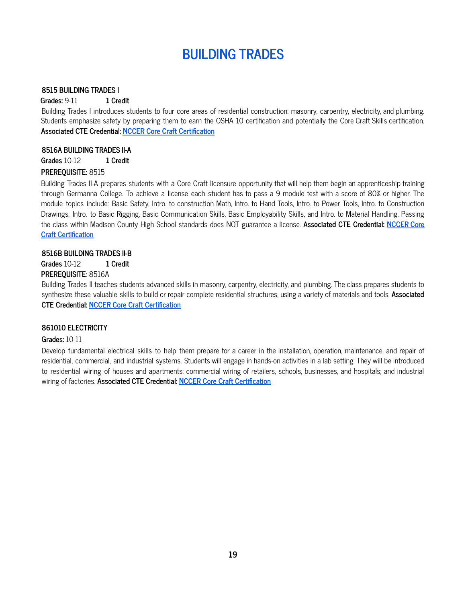# **BUILDING TRADES**

#### **8515 BUILDING TRADES I**

**Grades:** 9-11 **1 Credit**

Building Trades I introduces students to four core areas of residential construction: masonry, carpentry, electricity, and plumbing. Students emphasize safety by preparing them to earn the OSHA 10 certification and potentially the Core Craft Skills certification. **Associated CTE Credential: NCCER Core Craft [Certification](https://www.nccer.org/)**

#### **8516A BUILDING TRADES II-A**

**Grades** 10-12 **1 Credit**

#### **PREREQUISITE:** 8515

Building Trades II-A prepares students with a Core Craft licensure opportunity that will help them begin an apprenticeship training through Germanna College. To achieve a license each student has to pass a 9 module test with a score of 80% or higher. The module topics include: Basic Safety, Intro. to construction Math, Intro. to Hand Tools, Intro. to Power Tools, Intro. to Construction Drawings, Intro. to Basic Rigging, Basic Communication Skills, Basic Employability Skills, and Intro. to Material Handling. Passing the class within Madison County High School standards does NOT guarantee a license. **Associated CTE Credential: [NCCER](https://www.nccer.org/) Core Craft [Certification](https://www.nccer.org/)**

#### **8516B BUILDING TRADES II-B**

**Grades** 10-12 **1 Credit**

### **PREREQUISITE**: 8516A

Building Trades II teaches students advanced skills in masonry, carpentry, electricity, and plumbing. The class prepares students to synthesize these valuable skills to build or repair complete residential structures, using a variety of materials and tools. **Associated CTE Credential: NCCER Core Craft [Certification](https://www.nccer.org/)**

#### **861010 ELECTRICITY**

#### **Grades:** 10-11

Develop fundamental electrical skills to help them prepare for a career in the installation, operation, maintenance, and repair of residential, commercial, and industrial systems. Students will engage in hands-on activities in a lab setting. They will be introduced to residential wiring of houses and apartments; commercial wiring of retailers, schools, businesses, and hospitals; and industrial wiring of factories. **Associated CTE Credential: NCCER Core Craft [Certification](https://www.nccer.org/)**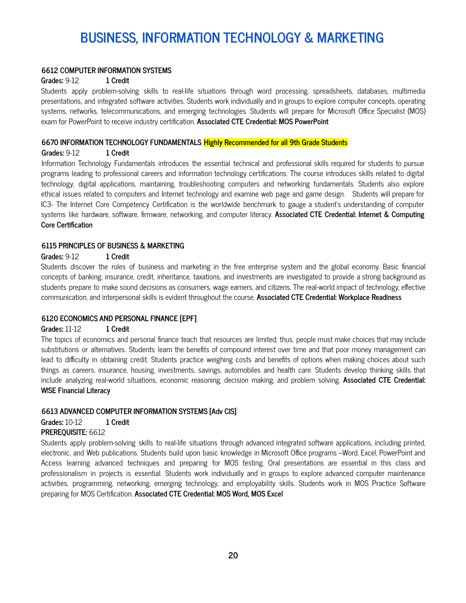# **BUSINESS, INFORMATION TECHNOLOGY & MARKETING**

#### **6612 COMPUTER INFORMATION SYSTEMS**

#### **Grades:** 9-12 **1 Credit**

Students apply problem-solving skills to real-life situations through word processing, spreadsheets, databases, multimedia presentations, and integrated software activities. Students work individually and in groups to explore computer concepts, operating systems, networks, telecommunications, and emerging technologies. Students will prepare for Microsoft Office Specialist (MOS) exam for PowerPoint to receive industry certification. **Associated CTE Credential: MOS PowerPoint**

#### **6670 INFORMATION TECHNOLOGY FUNDAMENTALS Highly Recommended for all 9th Grade Students**

#### **Grades:** 9-12 **1 Credit**

Information Technology Fundamentals introduces the essential technical and professional skills required for students to pursue programs leading to professional careers and information technology certifications. The course introduces skills related to digital technology, digital applications, maintaining, troubleshooting computers and networking fundamentals. Students also explore ethical issues related to computers and Internet technology and examine web page and game design. Students will prepare for IC3- The Internet Core Competency Certification is the worldwide benchmark to gauge a student's understanding of computer systems like hardware, software, firmware, networking, and computer literacy. **Associated CTE Credential: Internet & Computing Core Certification**

#### **6115 PRINCIPLES OF BUSINESS & MARKETING**

#### **Grades:** 9-12 **1 Credit**

Students discover the roles of business and marketing in the free enterprise system and the global economy. Basic financial concepts of banking, insurance, credit, inheritance, taxations, and investments are investigated to provide a strong background as students prepare to make sound decisions as consumers, wage earners, and citizens. The real-world impact of technology, effective communication, and interpersonal skills is evident throughout the course. **Associated CTE Credential: Workplace Readiness**

#### **6120 ECONOMICS AND PERSONAL FINANCE [EPF]**

#### **Grades:** 11-12 **1 Credit**

The topics of economics and personal finance teach that resources are limited; thus, people must make choices that may include substitutions or alternatives. Students learn the benefits of compound interest over time and that poor money management can lead to difficulty in obtaining credit. Students practice weighing costs and benefits of options when making choices about such things as careers, insurance, housing, investments, savings, automobiles and health care. Students develop thinking skills that include analyzing real-world situations, economic reasoning, decision making, and problem solving. **Associated CTE Credential: W!SE Financial Literacy**

#### **6613 ADVANCED COMPUTER INFORMATION SYSTEMS [Adv CIS]**

**Grades:** 10-12 **1 Credit**

#### **PREREQUISITE:** 6612

Students apply problem-solving skills to real-life situations through advanced integrated software applications, including printed, electronic, and Web publications. Students build upon basic knowledge in Microsoft Office programs –Word, Excel, PowerPoint and Access learning advanced techniques and preparing for MOS testing. Oral presentations are essential in this class and professionalism in projects is essential. Students work individually and in groups to explore advanced computer maintenance activities, programming, networking, emerging technology, and employability skills. Students work in MOS Practice Software preparing for MOS Certification. **Associated CTE Credential: MOS Word, MOS Excel**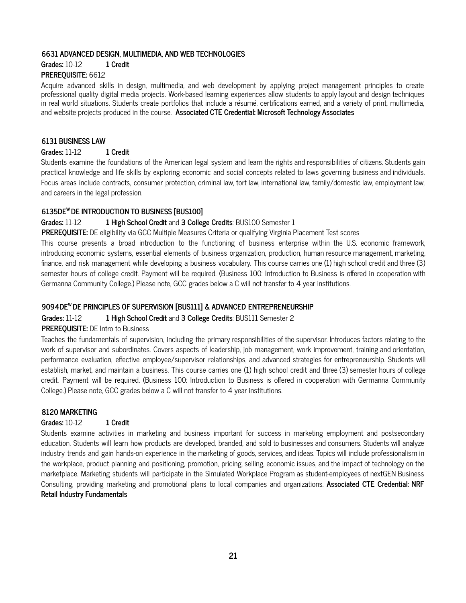#### **6631 ADVANCED DESIGN, MULTIMEDIA, AND WEB TECHNOLOGIES**

#### **Grades:** 10-12 **1 Credit**

### **PREREQUISITE:** 6612

Acquire advanced skills in design, multimedia, and web development by applying project management principles to create professional quality digital media projects. Work-based learning experiences allow students to apply layout and design techniques in real world situations. Students create portfolios that include a résumé, certifications earned, and a variety of print, multimedia, and website projects produced in the course. **Associated CTE Credential: Microsoft Technology Associates**

#### **6131 BUSINESS LAW**

#### **Grades:** 11-12 **1 Credit**

Students examine the foundations of the American legal system and learn the rights and responsibilities of citizens. Students gain practical knowledge and life skills by exploring economic and social concepts related to laws governing business and individuals. Focus areas include contracts, consumer protection, criminal law, tort law, international law, family/domestic law, employment law, and careers in the legal profession.

# **6135DE <sup>W</sup> DE INTRODUCTION TO BUSINESS [BUS100]**

# **Grades:** 11-12 **1 High School Credit** and **3 College Credits**: BUS100 Semester 1

**PREREQUISITE:** DE eligibility via GCC Multiple Measures Criteria or qualifying Virginia Placement Test scores

This course presents a broad introduction to the functioning of business enterprise within the U.S. economic framework, introducing economic systems, essential elements of business organization, production, human resource management, marketing, finance, and risk management while developing a business vocabulary. This course carries one (1) high school credit and three (3) semester hours of college credit. Payment will be required. (Business 100: Introduction to Business is offered in cooperation with Germanna Community College.) Please note, GCC grades below a C will not transfer to 4 year institutions.

# **9094DE <sup>W</sup> DE PRINCIPLES OF SUPERVISION [BUS111] & ADVANCED ENTREPRENEURSHIP**

#### **Grades:** 11-12 **1 High School Credit** and **3 College Credits**: BUS111 Semester 2

# **PREREQUISITE:** DE Intro to Business

Teaches the fundamentals of supervision, including the primary responsibilities of the supervisor. Introduces factors relating to the work of supervisor and subordinates. Covers aspects of leadership, job management, work improvement, training and orientation, performance evaluation, effective employee/supervisor relationships, and advanced strategies for entrepreneurship. Students will establish, market, and maintain a business. This course carries one (1) high school credit and three (3) semester hours of college credit. Payment will be required. (Business 100: Introduction to Business is offered in cooperation with Germanna Community College.) Please note, GCC grades below a C will not transfer to 4 year institutions.

#### **8120 MARKETING**

#### **Grades:** 10-12 **1 Credit**

Students examine activities in marketing and business important for success in marketing employment and postsecondary education. Students will learn how products are developed, branded, and sold to businesses and consumers. Students will analyze industry trends and gain hands-on experience in the marketing of goods, services, and ideas. Topics will include professionalism in the workplace, product planning and positioning, promotion, pricing, selling, economic issues, and the impact of technology on the marketplace. Marketing students will participate in the Simulated Workplace Program as student-employees of nextGEN Business Consulting, providing marketing and promotional plans to local companies and organizations. **Associated CTE Credential: NRF Retail Industry Fundamentals**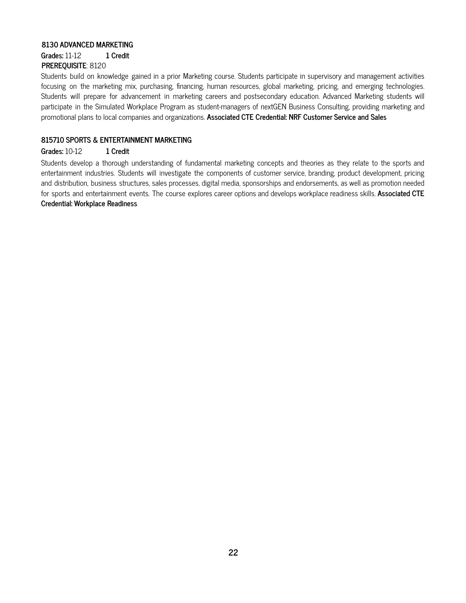#### **8130 ADVANCED MARKETING**

**Grades:** 11-12 **1 Credit**

# **PREREQUISITE**: 8120

Students build on knowledge gained in a prior Marketing course. Students participate in supervisory and management activities focusing on the marketing mix, purchasing, financing, human resources, global marketing, pricing, and emerging technologies. Students will prepare for advancement in marketing careers and postsecondary education. Advanced Marketing students will participate in the Simulated Workplace Program as student-managers of nextGEN Business Consulting, providing marketing and promotional plans to local companies and organizations. **Associated CTE Credential: NRF Customer Service and Sales**

# **815710 SPORTS & ENTERTAINMENT MARKETING**

# **Grades:** 10-12 **1 Credit**

Students develop a thorough understanding of fundamental marketing concepts and theories as they relate to the sports and entertainment industries. Students will investigate the components of customer service, branding, product development, pricing and distribution, business structures, sales processes, digital media, sponsorships and endorsements, as well as promotion needed for sports and entertainment events. The course explores career options and develops workplace readiness skills. **Associated CTE Credential: Workplace Readiness**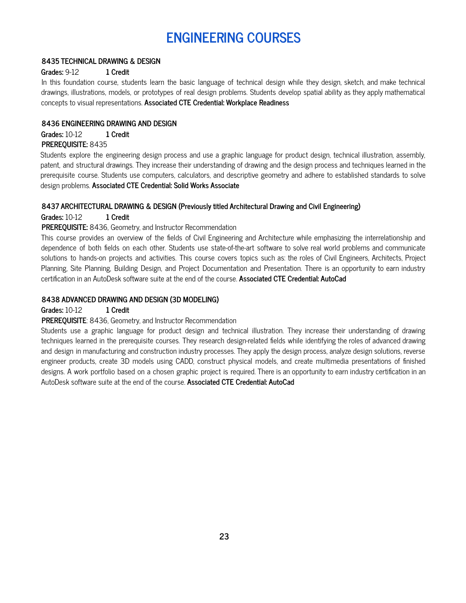# **ENGINEERING COURSES**

#### **8435 TECHNICAL DRAWING & DESIGN**

#### **Grades:** 9-12 **1 Credit**

In this foundation course, students learn the basic language of technical design while they design, sketch, and make technical drawings, illustrations, models, or prototypes of real design problems. Students develop spatial ability as they apply mathematical concepts to visual representations. **Associated CTE Credential: Workplace Readiness**

#### **8436 ENGINEERING DRAWING AND DESIGN**

**Grades:** 10-12 **1 Credit**

# **PREREQUISITE:** 8435

Students explore the engineering design process and use a graphic language for product design, technical illustration, assembly, patent, and structural drawings. They increase their understanding of drawing and the design process and techniques learned in the prerequisite course. Students use computers, calculators, and descriptive geometry and adhere to established standards to solve design problems. **Associated CTE Credential: Solid Works Associate**

#### **8437 ARCHITECTURAL DRAWING & DESIGN (Previously titled Architectural Drawing and Civil Engineering)**

**Grades:** 10-12 **1 Credit**

#### **PREREQUISITE:** 8436, Geometry, and Instructor Recommendation

This course provides an overview of the fields of Civil Engineering and Architecture while emphasizing the interrelationship and dependence of both fields on each other. Students use state-of-the-art software to solve real world problems and communicate solutions to hands-on projects and activities. This course covers topics such as: the roles of Civil Engineers, Architects, Project Planning, Site Planning, Building Design, and Project Documentation and Presentation. There is an opportunity to earn industry certification in an AutoDesk software suite at the end of the course. **Associated CTE Credential: AutoCad**

#### **8438 ADVANCED DRAWING AND DESIGN (3D MODELING)**

#### **Grades:** 10-12 **1 Credit**

#### **PREREQUISITE**: 8436, Geometry, and Instructor Recommendation

Students use a graphic language for product design and technical illustration. They increase their understanding of drawing techniques learned in the prerequisite courses. They research design-related fields while identifying the roles of advanced drawing and design in manufacturing and construction industry processes. They apply the design process, analyze design solutions, reverse engineer products, create 3D models using CADD, construct physical models, and create multimedia presentations of finished designs. A work portfolio based on a chosen graphic project is required. There is an opportunity to earn industry certification in an AutoDesk software suite at the end of the course. **Associated CTE Credential: AutoCad**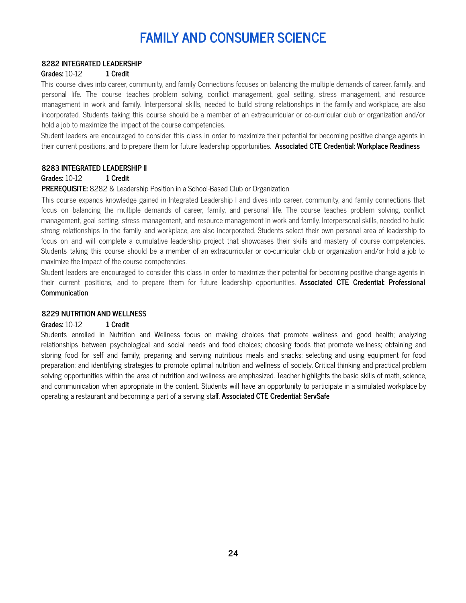# **FAMILY AND CONSUMER SCIENCE**

#### **8282 INTEGRATED LEADERSHIP**

#### **Grades:** 10-12 **1 Credit**

This course dives into career, community, and family Connections focuses on balancing the multiple demands of career, family, and personal life. The course teaches problem solving, conflict management, goal setting, stress management, and resource management in work and family. Interpersonal skills, needed to build strong relationships in the family and workplace, are also incorporated. Students taking this course should be a member of an extracurricular or co-curricular club or organization and/or hold a job to maximize the impact of the course competencies.

Student leaders are encouraged to consider this class in order to maximize their potential for becoming positive change agents in their current positions, and to prepare them for future leadership opportunities. **Associated CTE Credential: Workplace Readiness**

#### **8283 INTEGRATED LEADERSHIP II**

#### **Grades:** 10-12 **1 Credit**

#### **PREREQUISITE:** 8282 & Leadership Position in a School-Based Club or Organization

This course expands knowledge gained in Integrated Leadership I and dives into career, community, and family connections that focus on balancing the multiple demands of career, family, and personal life. The course teaches problem solving, conflict management, goal setting, stress management, and resource management in work and family. Interpersonal skills, needed to build strong relationships in the family and workplace, are also incorporated. Students select their own personal area of leadership to focus on and will complete a cumulative leadership project that showcases their skills and mastery of course competencies. Students taking this course should be a member of an extracurricular or co-curricular club or organization and/or hold a job to maximize the impact of the course competencies.

Student leaders are encouraged to consider this class in order to maximize their potential for becoming positive change agents in their current positions, and to prepare them for future leadership opportunities. **Associated CTE Credential: Professional Communication**

#### **8229 NUTRITION AND WELLNESS**

#### **Grades:** 10-12 **1 Credit**

Students enrolled in Nutrition and Wellness focus on making choices that promote wellness and good health; analyzing relationships between psychological and social needs and food choices; choosing foods that promote wellness; obtaining and storing food for self and family; preparing and serving nutritious meals and snacks; selecting and using equipment for food preparation; and identifying strategies to promote optimal nutrition and wellness of society. Critical thinking and practical problem solving opportunities within the area of nutrition and wellness are emphasized. Teacher highlights the basic skills of math, science, and communication when appropriate in the content. Students will have an opportunity to participate in a simulated workplace by operating a restaurant and becoming a part of a serving staff. **Associated CTE Credential: ServSafe**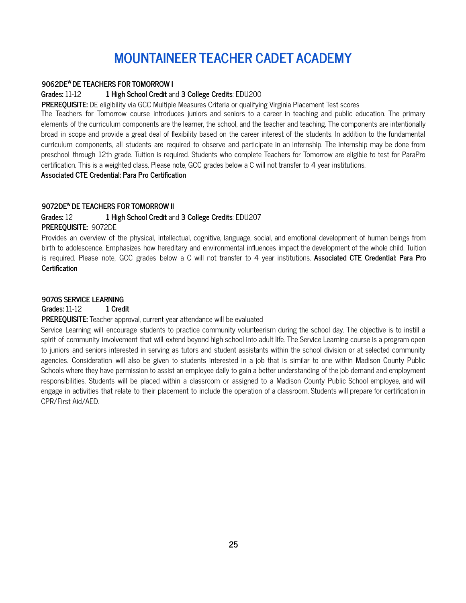# **MOUNTAINEER TEACHER CADET ACADEMY**

#### **9062DE <sup>W</sup> DE TEACHERS FOR TOMORROW I**

#### **Grades:** 11-12 **1 High School Credit** and **3 College Credits**: EDU200

**PREREQUISITE:** DE eligibility via GCC Multiple Measures Criteria or qualifying Virginia Placement Test scores

The Teachers for Tomorrow course introduces juniors and seniors to a career in teaching and public education. The primary elements of the curriculum components are the learner, the school, and the teacher and teaching. The components are intentionally broad in scope and provide a great deal of flexibility based on the career interest of the students. In addition to the fundamental curriculum components, all students are required to observe and participate in an internship. The internship may be done from preschool through 12th grade. Tuition is required. Students who complete Teachers for Tomorrow are eligible to test for ParaPro certification. This is a weighted class. Please note, GCC grades below a C will not transfer to 4 year institutions.

# **Associated CTE Credential: Para Pro Certification**

#### **9072DE <sup>W</sup> DE TEACHERS FOR TOMORROW II**

# **Grades:** 12 **1 High School Credit** and **3 College Credits**: EDU207

**PREREQUISITE:** 9072DE

Provides an overview of the physical, intellectual, cognitive, language, social, and emotional development of human beings from birth to adolescence. Emphasizes how hereditary and environmental influences impact the development of the whole child. Tuition is required. Please note, GCC grades below a C will not transfer to 4 year institutions. **Associated CTE Credential: Para Pro Certification**

#### **9070S SERVICE LEARNING**

#### **Grades:** 11-12 **1 Credit**

**PREREQUISITE:** Teacher approval, current year attendance will be evaluated

Service Learning will encourage students to practice community volunteerism during the school day. The objective is to instill a spirit of community involvement that will extend beyond high school into adult life. The Service Learning course is a program open to juniors and seniors interested in serving as tutors and student assistants within the school division or at selected community agencies. Consideration will also be given to students interested in a job that is similar to one within Madison County Public Schools where they have permission to assist an employee daily to gain a better understanding of the job demand and employment responsibilities. Students will be placed within a classroom or assigned to a Madison County Public School employee, and will engage in activities that relate to their placement to include the operation of a classroom. Students will prepare for certification in CPR/First Aid/AED.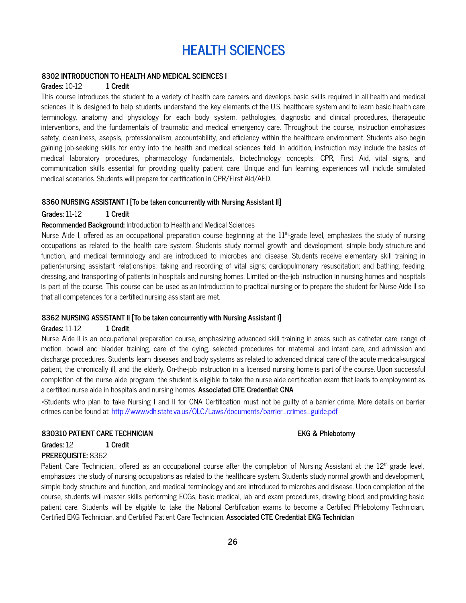# **HEALTH SCIENCES**

#### **8302 INTRODUCTION TO HEALTH AND MEDICAL SCIENCES I**

#### **Grades:** 10-12 **1 Credit**

This course introduces the student to a variety of health care careers and develops basic skills required in all health and medical sciences. It is designed to help students understand the key elements of the U.S. healthcare system and to learn basic health care terminology, anatomy and physiology for each body system, pathologies, diagnostic and clinical procedures, therapeutic interventions, and the fundamentals of traumatic and medical emergency care. Throughout the course, instruction emphasizes safety, cleanliness, asepsis, professionalism, accountability, and efficiency within the healthcare environment. Students also begin gaining job-seeking skills for entry into the health and medical sciences field. In addition, instruction may include the basics of medical laboratory procedures, pharmacology fundamentals, biotechnology concepts, CPR, First Aid, vital signs, and communication skills essential for providing quality patient care. Unique and fun learning experiences will include simulated medical scenarios. Students will prepare for certification in CPR/First Aid/AED.

#### **8360 NURSING ASSISTANT I [To be taken concurrently with Nursing Assistant II]**

#### **Grades:** 11-12 **1 Credit**

#### **Recommended Background:** Introduction to Health and Medical Sciences

Nurse Aide I, offered as an occupational preparation course beginning at the  $11<sup>th</sup>$ -grade level, emphasizes the study of nursing occupations as related to the health care system. Students study normal growth and development, simple body structure and function, and medical terminology and are introduced to microbes and disease. Students receive elementary skill training in patient-nursing assistant relationships; taking and recording of vital signs; cardiopulmonary resuscitation; and bathing, feeding, dressing, and transporting of patients in hospitals and nursing homes. Limited on-the-job instruction in nursing homes and hospitals is part of the course. This course can be used as an introduction to practical nursing or to prepare the student for Nurse Aide II so that all competences for a certified nursing assistant are met.

#### **8362 NURSING ASSISTANT II [To be taken concurrently with Nursing Assistant I]**

#### **Grades:** 11-12 **1 Credit**

Nurse Aide II is an occupational preparation course, emphasizing advanced skill training in areas such as catheter care, range of motion, bowel and bladder training, care of the dying, selected procedures for maternal and infant care, and admission and discharge procedures. Students learn diseases and body systems as related to advanced clinical care of the acute medical-surgical patient, the chronically ill, and the elderly. On-the-job instruction in a licensed nursing home is part of the course. Upon successful completion of the nurse aide program, the student is eligible to take the nurse aide certification exam that leads to employment as a certified nurse aide in hospitals and nursing homes. **Associated CTE Credential: CNA**

\*Students who plan to take Nursing I and II for CNA Certification must not be guilty of a barrier crime. More details on barrier crimes can be found at: http://www.vdh.state.va.us/OLC/Laws/documents/barrier\_crimes\_guide.pdf

#### **830310 PATIENT CARE TECHNICIAN EKG & Phlebotomy**

# **Grades:** 12 **1 Credit**

# **PREREQUISITE:** 8362

Patient Care Technician,, offered as an occupational course after the completion of Nursing Assistant at the 12<sup>th</sup> grade level, emphasizes the study of nursing occupations as related to the healthcare system. Students study normal growth and development, simple body structure and function, and medical terminology and are introduced to microbes and disease. Upon completion of the course, students will master skills performing ECGs, basic medical, lab and exam procedures, drawing blood, and providing basic patient care. Students will be eligible to take the National Certification exams to become a Certified Phlebotomy Technician, Certified EKG Technician, and Certified Patient Care Technician. **Associated CTE Credential: EKG Technician**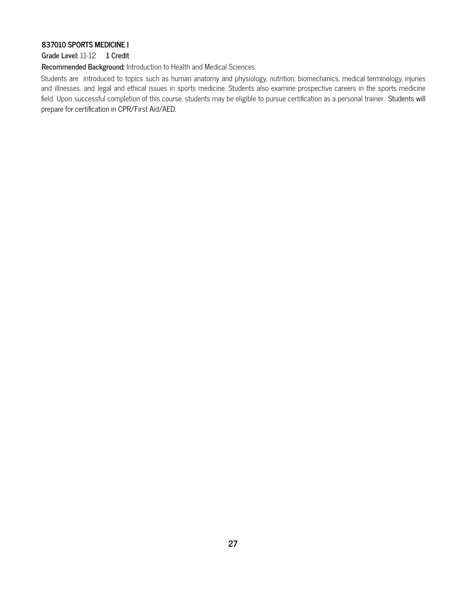#### **837010 SPORTS MEDICINE I**

#### **Grade Level:** 11-12 **1 Credit**

**Recommended Background:** Introduction to Health and Medical Sciences

Students are introduced to topics such as human anatomy and physiology, nutrition, biomechanics, medical terminology, injuries and illnesses, and legal and ethical issues in sports medicine. Students also examine prospective careers in the sports medicine field. Upon successful completion of this course, students may be eligible to pursue certification as a personal trainer. Students will prepare for certification in CPR/First Aid/AED.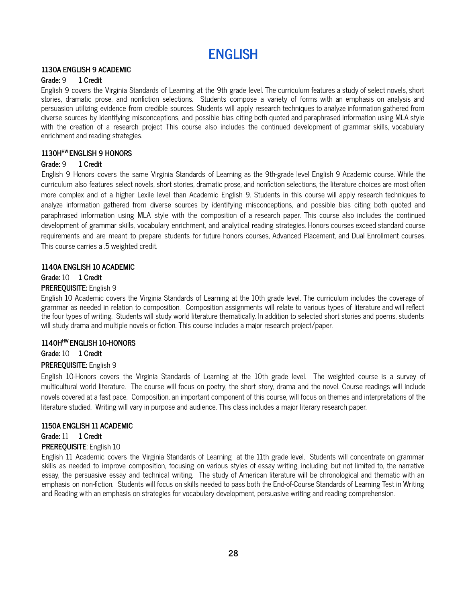

#### **1130A ENGLISH 9 ACADEMIC**

#### **Grade:** 9 **1 Credit**

English 9 covers the Virginia Standards of Learning at the 9th grade level. The curriculum features a study of select novels, short stories, dramatic prose, and nonfiction selections. Students compose a variety of forms with an emphasis on analysis and persuasion utilizing evidence from credible sources. Students will apply research techniques to analyze information gathered from diverse sources by identifying misconceptions, and possible bias citing both quoted and paraphrased information using MLA style with the creation of a research project This course also includes the continued development of grammar skills, vocabulary enrichment and reading strategies.

#### **1130H HW ENGLISH 9 HONORS**

#### **Grade:** 9 **1 Credit**

English 9 Honors covers the same Virginia Standards of Learning as the 9th-grade level English 9 Academic course. While the curriculum also features select novels, short stories, dramatic prose, and nonfiction selections, the literature choices are most often more complex and of a higher Lexile level than Academic English 9. Students in this course will apply research techniques to analyze information gathered from diverse sources by identifying misconceptions, and possible bias citing both quoted and paraphrased information using MLA style with the composition of a research paper. This course also includes the continued development of grammar skills, vocabulary enrichment, and analytical reading strategies. Honors courses exceed standard course requirements and are meant to prepare students for future honors courses, Advanced Placement, and Dual Enrollment courses. This course carries a .5 weighted credit.

#### **1140A ENGLISH 10 ACADEMIC**

# **Grade:** 10 **1 Credit**

#### **PREREQUISITE:** English 9

English 10 Academic covers the Virginia Standards of Learning at the 10th grade level. The curriculum includes the coverage of grammar as needed in relation to composition. Composition assignments will relate to various types of literature and will reflect the four types of writing. Students will study world literature thematically. In addition to selected short stories and poems, students will study drama and multiple novels or fiction. This course includes a major research project/paper.

### **1140H HW ENGLISH 10-HONORS**

**Grade:** 10 **1 Credit PREREQUISITE:** English 9

# English 10-Honors covers the Virginia Standards of Learning at the 10th grade level. The weighted course is a survey of multicultural world literature. The course will focus on poetry, the short story, drama and the novel. Course readings will include novels covered at a fast pace. Composition, an important component of this course, will focus on themes and interpretations of the literature studied. Writing will vary in purpose and audience. This class includes a major literary research paper.

#### **1150A ENGLISH 11 ACADEMIC**

**Grade:** 11 **1 Credit PREREQUISITE**: English 10

English 11 Academic covers the Virginia Standards of Learning at the 11th grade level. Students will concentrate on grammar skills as needed to improve composition, focusing on various styles of essay writing, including, but not limited to, the narrative essay, the persuasive essay and technical writing. The study of American literature will be chronological and thematic with an emphasis on non-fiction. Students will focus on skills needed to pass both the End-of-Course Standards of Learning Test in Writing and Reading with an emphasis on strategies for vocabulary development, persuasive writing and reading comprehension.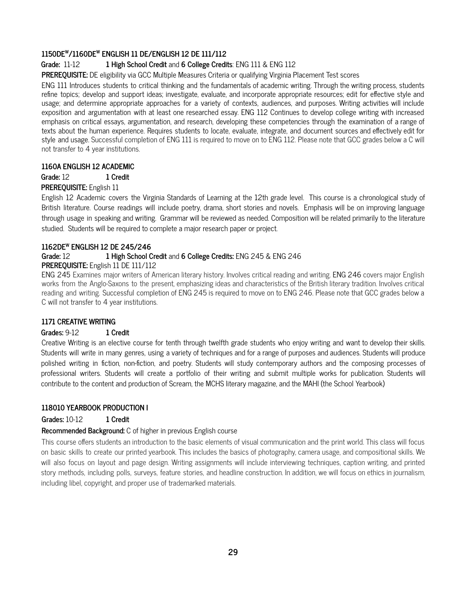### **1150DE <sup>W</sup>/1160DE <sup>W</sup> ENGLISH 11 DE/ENGLISH 12 DE 111/112**

# **Grade:** 11-12 **1 High School Credit** and **6 College Credits**: ENG 111 & ENG 112

**PREREQUISITE:** DE eligibility via GCC Multiple Measures Criteria or qualifying Virginia Placement Test scores

ENG 111 Introduces students to critical thinking and the fundamentals of academic writing. Through the writing process, students refine topics; develop and support ideas; investigate, evaluate, and incorporate appropriate resources; edit for effective style and usage; and determine appropriate approaches for a variety of contexts, audiences, and purposes. Writing activities will include exposition and argumentation with at least one researched essay. ENG 112 Continues to develop college writing with increased emphasis on critical essays, argumentation, and research, developing these competencies through the examination of a range of texts about the human experience. Requires students to locate, evaluate, integrate, and document sources and effectively edit for style and usage. Successful completion of ENG 111 is required to move on to ENG 112. Please note that GCC grades below a C will not transfer to 4 year institutions.

#### **1160A ENGLISH 12 ACADEMIC**

**Grade:** 12 **1 Credit**

# **PREREQUISITE:** English 11

English 12 Academic covers the Virginia Standards of Learning at the 12th grade level. This course is a chronological study of British literature. Course readings will include poetry, drama, short stories and novels. Emphasis will be on improving language through usage in speaking and writing. Grammar will be reviewed as needed. Composition will be related primarily to the literature studied. Students will be required to complete a major research paper or project.

# **1162DE <sup>W</sup> ENGLISH 12 DE 245/246**

# **Grade:** 12 **1 High School Credit** and **6 College Credits:** ENG 245 & ENG 246

#### **PREREQUISITE:** English 11 DE 111/112

ENG 245 Examines major writers of American literary history. Involves critical reading and writing. ENG 246 covers major English works from the Anglo-Saxons to the present, emphasizing ideas and characteristics of the British literary tradition. Involves critical reading and writing. Successful completion of ENG 245 is required to move on to ENG 246. Please note that GCC grades below a C will not transfer to 4 year institutions.

#### **1171 CREATIVE WRITING**

#### **Grades:** 9-12 **1 Credit**

Creative Writing is an elective course for tenth through twelfth grade students who enjoy writing and want to develop their skills. Students will write in many genres, using a variety of techniques and for a range of purposes and audiences. Students will produce polished writing in fiction, non-fiction, and poetry. Students will study contemporary authors and the composing processes of professional writers. Students will create a portfolio of their writing and submit multiple works for publication. Students will contribute to the content and production of Scream, the MCHS literary magazine, and the MAHI (the School Yearbook)

#### **118010 YEARBOOK PRODUCTION I**

**Grades:** 10-12 **1 Credit**

#### **Recommended Background:** C of higher in previous English course

This course offers students an introduction to the basic elements of visual communication and the print world. This class will focus on basic skills to create our printed yearbook. This includes the basics of photography, camera usage, and compositional skills. We will also focus on layout and page design. Writing assignments will include interviewing techniques, caption writing, and printed story methods, including polls, surveys, feature stories, and headline construction. In addition, we will focus on ethics in journalism, including libel, copyright, and proper use of trademarked materials.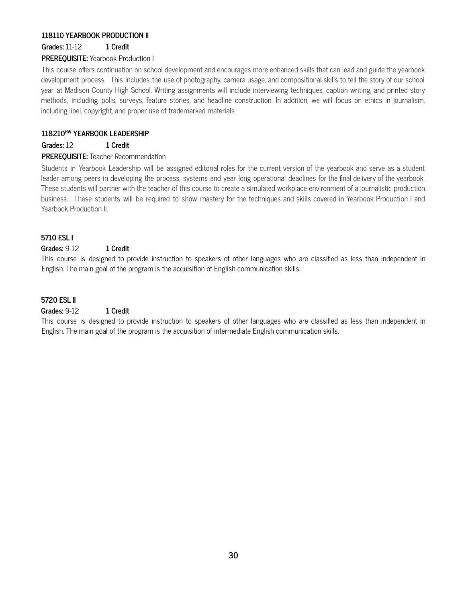# **118110 YEARBOOK PRODUCTION II**

**Grades:** 11-12 **1 Credit**

# **PREREQUISITE:** Yearbook Production I

This course offers continuation on school development and encourages more enhanced skills that can lead and guide the yearbook development process. This includes the use of photography, camera usage, and compositional skills to tell the story of our school year at Madison County High School. Writing assignments will include interviewing techniques, caption writing, and printed story methods, including polls, surveys, feature stories, and headline construction. In addition, we will focus on ethics in journalism, including libel, copyright, and proper use of trademarked materials.

# **118210 HW YEARBOOK LEADERSHIP**

**Grades:** 12 **1 Credit**

#### **PREREQUISITE:** Teacher Recommendation

Students in Yearbook Leadership will be assigned editorial roles for the current version of the yearbook and serve as a student leader among peers in developing the process, systems and year long operational deadlines for the final delivery of the yearbook. These students will partner with the teacher of this course to create a simulated workplace environment of a journalistic production business. These students will be required to show mastery for the techniques and skills covered in Yearbook Production I and Yearbook Production II.

#### **5710 ESL I**

#### **Grades:** 9-12 **1 Credit**

This course is designed to provide instruction to speakers of other languages who are classified as less than independent in English. The main goal of the program is the acquisition of English communication skills.

#### **5720 ESL II**

# **Grades:** 9-12 **1 Credit**

This course is designed to provide instruction to speakers of other languages who are classified as less than independent in English. The main goal of the program is the acquisition of intermediate English communication skills.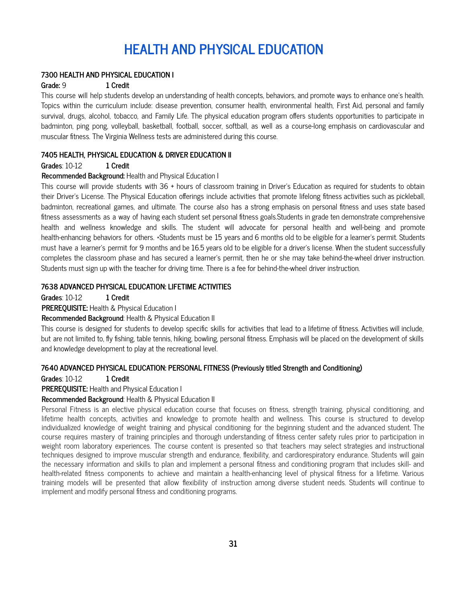# **HEALTH AND PHYSICAL EDUCATION**

#### **7300 HEALTH AND PHYSICAL EDUCATION I**

#### **Grade:** 9 **1 Credit**

This course will help students develop an understanding of health concepts, behaviors, and promote ways to enhance one's health. Topics within the curriculum include: disease prevention, consumer health, environmental health, First Aid, personal and family survival, drugs, alcohol, tobacco, and Family Life. The physical education program offers students opportunities to participate in badminton, ping pong, volleyball, basketball, football, soccer, softball, as well as a course-long emphasis on cardiovascular and muscular fitness. The Virginia Wellness tests are administered during this course.

#### **7405 HEALTH, PHYSICAL EDUCATION & DRIVER EDUCATION II**

#### **Grades**: 10-12 **1 Credit**

#### **Recommended Background:** Health and Physical Education I

This course will provide students with 36 + hours of classroom training in Driver's Education as required for students to obtain their Driver's License. The Physical Education offerings include activities that promote lifelong fitness activities such as pickleball, badminton, recreational games, and ultimate. The course also has a strong emphasis on personal fitness and uses state based fitness assessments as a way of having each student set personal fitness goals.Students in grade ten demonstrate comprehensive health and wellness knowledge and skills. The student will advocate for personal health and well-being and promote health-enhancing behaviors for others. \*Students must be 15 years and 6 months old to be eligible for a learner's permit. Students must have a learner's permit for 9 months and be 16.5 years old to be eligible for a driver's license. When the student successfully completes the classroom phase and has secured a learner's permit, then he or she may take behind-the-wheel driver instruction. Students must sign up with the teacher for driving time. There is a fee for behind-the-wheel driver instruction.

#### **7638 ADVANCED PHYSICAL EDUCATION: LIFETIME ACTIVITIES**

**Grades**: 10-12 **1 Credit**

**PREREQUISITE:** Health & Physical Education I

**Recommended Background**: Health & Physical Education II

This course is designed for students to develop specific skills for activities that lead to a lifetime of fitness. Activities will include, but are not limited to, fly fishing, table tennis, hiking, bowling, personal fitness. Emphasis will be placed on the development of skills and knowledge development to play at the recreational level.

#### **7640 ADVANCED PHYSICAL EDUCATION: PERSONAL FITNESS (Previously titled Strength and Conditioning)**

**Grades**: 10-12 **1 Credit**

# **PREREQUISITE:** Health and Physical Education I

#### **Recommended Background**: Health & Physical Education II

Personal Fitness is an elective physical education course that focuses on fitness, strength training, physical conditioning, and lifetime health concepts, activities and knowledge to promote health and wellness. This course is structured to develop individualized knowledge of weight training and physical conditioning for the beginning student and the advanced student. The course requires mastery of training principles and thorough understanding of fitness center safety rules prior to participation in weight room laboratory experiences. The course content is presented so that teachers may select strategies and instructional techniques designed to improve muscular strength and endurance, flexibility, and cardiorespiratory endurance. Students will gain the necessary information and skills to plan and implement a personal fitness and conditioning program that includes skill- and health-related fitness components to achieve and maintain a health-enhancing level of physical fitness for a lifetime. Various training models will be presented that allow flexibility of instruction among diverse student needs. Students will continue to implement and modify personal fitness and conditioning programs.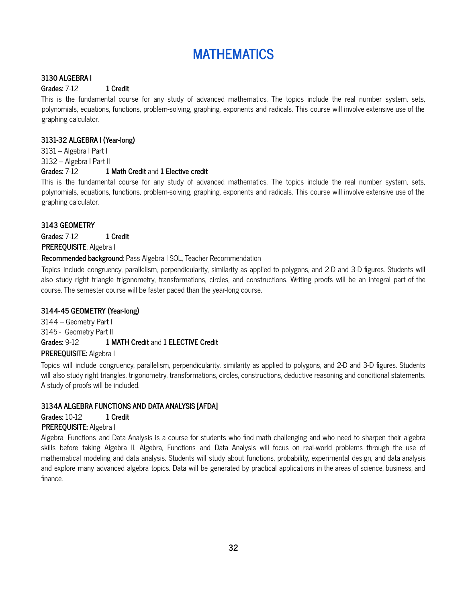# **MATHEMATICS**

#### **3130 ALGEBRA I**

### **Grades:** 7-12 **1 Credit**

This is the fundamental course for any study of advanced mathematics. The topics include the real number system, sets, polynomials, equations, functions, problem-solving, graphing, exponents and radicals. This course will involve extensive use of the graphing calculator.

# **3131-32 ALGEBRA I (Year-long)**

3131 – Algebra I Part I

3132 – Algebra I Part II

# **Grades:** 7-12 **1 Math Credit** and **1 Elective credit**

This is the fundamental course for any study of advanced mathematics. The topics include the real number system, sets, polynomials, equations, functions, problem-solving, graphing, exponents and radicals. This course will involve extensive use of the graphing calculator.

# **3143 GEOMETRY**

**Grades:** 7-12 **1 Credit PREREQUISITE**: Algebra I

# **Recommended background**: Pass Algebra I SOL, Teacher Recommendation

Topics include congruency, parallelism, perpendicularity, similarity as applied to polygons, and 2-D and 3-D figures. Students will also study right triangle trigonometry, transformations, circles, and constructions. Writing proofs will be an integral part of the course. The semester course will be faster paced than the year-long course.

# **3144-45 GEOMETRY (Year-long)**

3144 – Geometry Part I 3145 - Geometry Part II **Grades:** 9-12 **1 MATH Credit** and **1 ELECTIVE Credit**

# **PREREQUISITE:** Algebra I

Topics will include congruency, parallelism, perpendicularity, similarity as applied to polygons, and 2-D and 3-D figures. Students will also study right triangles, trigonometry, transformations, circles, constructions, deductive reasoning and conditional statements. A study of proofs will be included.

# **3134A ALGEBRA FUNCTIONS AND DATA ANALYSIS [AFDA]**

**Grades:** 10-12 **1 Credit**

# **PREREQUISITE:** Algebra I

Algebra, Functions and Data Analysis is a course for students who find math challenging and who need to sharpen their algebra skills before taking Algebra II. Algebra, Functions and Data Analysis will focus on real-world problems through the use of mathematical modeling and data analysis. Students will study about functions, probability, experimental design, and data analysis and explore many advanced algebra topics. Data will be generated by practical applications in the areas of science, business, and finance.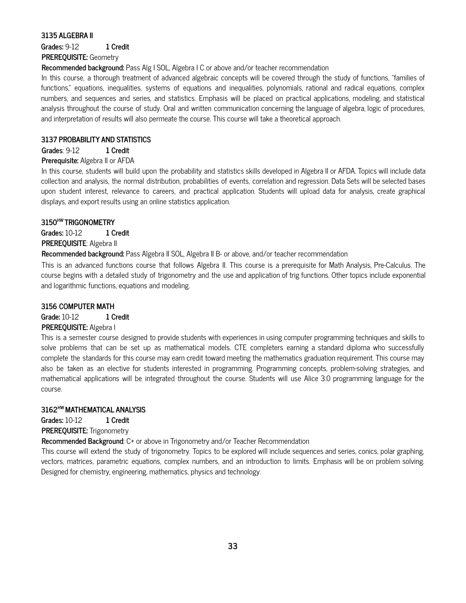#### **3135 ALGEBRA II**

**Grades:** 9-12 **1 Credit**

# **PREREQUISITE:** Geometry

**Recommended background:** Pass Alg I SOL, Algebra I C or above and/or teacher recommendation

In this course, a thorough treatment of advanced algebraic concepts will be covered through the study of functions, "families of functions," equations, inequalities, systems of equations and inequalities, polynomials, rational and radical equations, complex numbers, and sequences and series, and statistics. Emphasis will be placed on practical applications, modeling, and statistical analysis throughout the course of study. Oral and written communication concerning the language of algebra, logic of procedures, and interpretation of results will also permeate the course. This course will take a theoretical approach.

#### **3137 PROBABILITY AND STATISTICS**

# **Grades**: 9-12 **1 Credit**

#### **Prerequisite:** Algebra II or AFDA

In this course, students will build upon the probability and statistics skills developed in Algebra II or AFDA. Topics will include data collection and analysis, the normal distribution, probabilities of events, correlation and regression. Data Sets will be selected bases upon student interest, relevance to careers, and practical application. Students will upload data for analysis, create graphical displays, and export results using an online statistics application.

# **3150 HW TRIGONOMETRY**

**Grades:** 10-12 **1 Credit**

# **PREREQUISITE**: Algebra II

**Recommended background:** Pass Algebra II SOL, Algebra II B- or above, and/or teacher recommendation

This is an advanced functions course that follows Algebra II. This course is a prerequisite for Math Analysis, Pre-Calculus. The course begins with a detailed study of trigonometry and the use and application of trig functions. Other topics include exponential and logarithmic functions, equations and modeling.

### **3156 COMPUTER MATH**

#### **Grade:** 10-12 **1 Credit**

#### **PREREQUISITE:** Algebra I

This is a semester course designed to provide students with experiences in using computer programming techniques and skills to solve problems that can be set up as mathematical models. CTE completers earning a standard diploma who successfully complete the standards for this course may earn credit toward meeting the mathematics graduation requirement. This course may also be taken as an elective for students interested in programming. Programming concepts, problem-solving strategies, and mathematical applications will be integrated throughout the course. Students will use Alice 3.0 programming language for the course.

#### **3162 HW MATHEMATICAL ANALYSIS**

**Grades:** 10-12 **1 Credit**

**PREREQUISITE:** Trigonometry

**Recommended Background**: C+ or above in Trigonometry and/or Teacher Recommendation

This course will extend the study of trigonometry. Topics to be explored will include sequences and series, conics, polar graphing, vectors, matrices, parametric equations, complex numbers, and an introduction to limits. Emphasis will be on problem solving. Designed for chemistry, engineering, mathematics, physics and technology.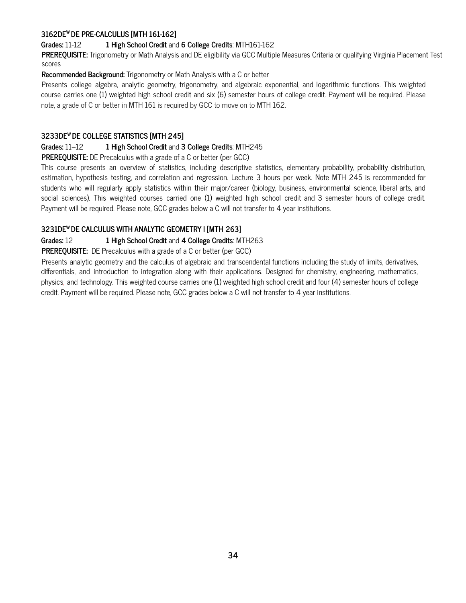# **3162DE <sup>W</sup> DE PRE-CALCULUS [MTH 161-162]**

#### **Grades:** 11-12 **1 High School Credit** and **6 College Credits**: MTH161-162

**PREREQUISITE:** Trigonometry or Math Analysis and DE eligibility via GCC Multiple Measures Criteria or qualifying Virginia Placement Test scores

#### **Recommended Background:** Trigonometry or Math Analysis with a C or better

Presents college algebra, analytic geometry, trigonometry, and algebraic exponential, and logarithmic functions. This weighted course carries one (1) weighted high school credit and six (6) semester hours of college credit. Payment will be required. Please note, a grade of C or better in MTH 161 is required by GCC to move on to MTH 162.

### **3233DE <sup>W</sup> DE COLLEGE STATISTICS [MTH 245]**

#### **Grades:** 11–12 **1 High School Credit** and **3 College Credits**: MTH245

**PREREQUISITE:** DE Precalculus with a grade of a C or better (per GCC)

This course presents an overview of statistics, including descriptive statistics, elementary probability, probability distribution, estimation, hypothesis testing, and correlation and regression. Lecture 3 hours per week. Note MTH 245 is recommended for students who will regularly apply statistics within their major/career (biology, business, environmental science, liberal arts, and social sciences). This weighted courses carried one (1) weighted high school credit and 3 semester hours of college credit. Payment will be required. Please note, GCC grades below a C will not transfer to 4 year institutions.

# **3231DE <sup>W</sup> DE CALCULUS WITH ANALYTIC GEOMETRY I [MTH 263]**

# **Grades:** 12 **1 High School Credit** and **4 College Credits**: MTH263

#### **PREREQUISITE:** DE Precalculus with a grade of a C or better (per GCC)

Presents analytic geometry and the calculus of algebraic and transcendental functions including the study of limits, derivatives, differentials, and introduction to integration along with their applications. Designed for chemistry, engineering, mathematics, physics, and technology. This weighted course carries one (1) weighted high school credit and four (4) semester hours of college credit. Payment will be required. Please note, GCC grades below a C will not transfer to 4 year institutions.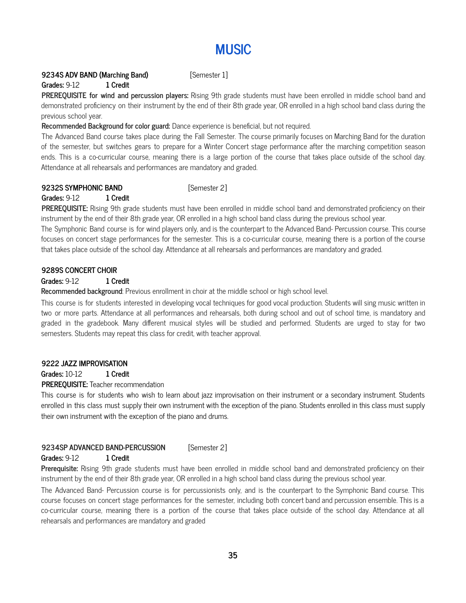# **MUSIC**

#### **9234S ADV BAND (Marching Band)** [Semester 1]

#### **Grades:** 9-12 **1 Credit**

**PREREQUISITE for wind and percussion players:** Rising 9th grade students must have been enrolled in middle school band and demonstrated proficiency on their instrument by the end of their 8th grade year, OR enrolled in a high school band class during the previous school year.

#### **Recommended Background for color guard:** Dance experience is beneficial, but not required.

The Advanced Band course takes place during the Fall Semester. The course primarily focuses on Marching Band for the duration of the semester, but switches gears to prepare for a Winter Concert stage performance after the marching competition season ends. This is a co-curricular course, meaning there is a large portion of the course that takes place outside of the school day. Attendance at all rehearsals and performances are mandatory and graded.

#### **9232S SYMPHONIC BAND** [Semester 2]

#### **Grades:** 9-12 **1 Credit**

**PREREQUISITE:** Rising 9th grade students must have been enrolled in middle school band and demonstrated proficiency on their instrument by the end of their 8th grade year, OR enrolled in a high school band class during the previous school year.

The Symphonic Band course is for wind players only, and is the counterpart to the Advanced Band- Percussion course. This course focuses on concert stage performances for the semester. This is a co-curricular course, meaning there is a portion of the course that takes place outside of the school day. Attendance at all rehearsals and performances are mandatory and graded.

#### **9289S CONCERT CHOIR**

#### **Grades:** 9-12 **1 Credit**

**Recommended background**: Previous enrollment in choir at the middle school or high school level.

This course is for students interested in developing vocal techniques for good vocal production. Students will sing music written in two or more parts. Attendance at all performances and rehearsals, both during school and out of school time, is mandatory and graded in the gradebook. Many different musical styles will be studied and performed. Students are urged to stay for two semesters. Students may repeat this class for credit, with teacher approval.

#### **9222 JAZZ IMPROVISATION**

**Grades:** 10-12 **1 Credit**

#### **PREREQUISITE:** Teacher recommendation

This course is for students who wish to learn about jazz improvisation on their instrument or a secondary instrument. Students enrolled in this class must supply their own instrument with the exception of the piano. Students enrolled in this class must supply their own instrument with the exception of the piano and drums.

#### **9234SP ADVANCED BAND-PERCUSSION** [Semester 2]

#### **Grades:** 9-12 **1 Credit**

**Prerequisite:** Rising 9th grade students must have been enrolled in middle school band and demonstrated proficiency on their instrument by the end of their 8th grade year, OR enrolled in a high school band class during the previous school year.

The Advanced Band- Percussion course is for percussionists only, and is the counterpart to the Symphonic Band course. This course focuses on concert stage performances for the semester, including both concert band and percussion ensemble. This is a co-curricular course, meaning there is a portion of the course that takes place outside of the school day. Attendance at all rehearsals and performances are mandatory and graded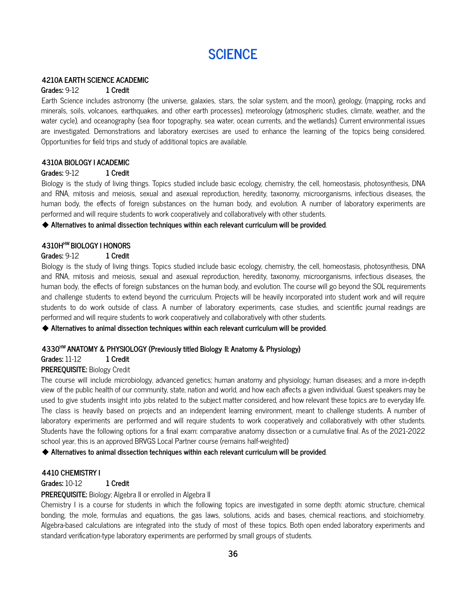# **SCIENCE**

#### **4210A EARTH SCIENCE ACADEMIC**

#### **Grades:** 9-12 **1 Credit**

Earth Science includes astronomy (the universe, galaxies, stars, the solar system, and the moon), geology, (mapping, rocks and minerals, soils, volcanoes, earthquakes, and other earth processes), meteorology (atmospheric studies, climate, weather, and the water cycle), and oceanography (sea floor topography, sea water, ocean currents, and the wetlands). Current environmental issues are investigated. Demonstrations and laboratory exercises are used to enhance the learning of the topics being considered. Opportunities for field trips and study of additional topics are available.

#### **4310A BIOLOGY I ACADEMIC**

#### **Grades:** 9-12 **1 Credit**

Biology is the study of living things. Topics studied include basic ecology, chemistry, the cell, homeostasis, photosynthesis, DNA and RNA, mitosis and meiosis, sexual and asexual reproduction, heredity, taxonomy, microorganisms, infectious diseases, the human body, the effects of foreign substances on the human body, and evolution. A number of laboratory experiments are performed and will require students to work cooperatively and collaboratively with other students.

#### ◆ **Alternatives to animal dissection techniques within each relevant curriculum will be provided**.

#### **4310H HW BIOLOGY I HONORS**

#### **Grades:** 9-12 **1 Credit**

Biology is the study of living things. Topics studied include basic ecology, chemistry, the cell, homeostasis, photosynthesis, DNA and RNA, mitosis and meiosis, sexual and asexual reproduction, heredity, taxonomy, microorganisms, infectious diseases, the human body, the effects of foreign substances on the human body, and evolution. The course will go beyond the SOL requirements and challenge students to extend beyond the curriculum. Projects will be heavily incorporated into student work and will require students to do work outside of class. A number of laboratory experiments, case studies, and scientific journal readings are performed and will require students to work cooperatively and collaboratively with other students.

◆ **Alternatives to animal dissection techniques within each relevant curriculum will be provided**.

#### **4330 HW ANATOMY & PHYSIOLOGY (Previously titled Biology II: Anatomy & Physiology)**

#### **Grades:** 11-12 **1 Credit**

#### **PREREQUISITE:** Biology Credit

The course will include microbiology, advanced genetics; human anatomy and physiology; human diseases; and a more in-depth view of the public health of our community, state, nation and world, and how each affects a given individual. Guest speakers may be used to give students insight into jobs related to the subject matter considered, and how relevant these topics are to everyday life. The class is heavily based on projects and an independent learning environment, meant to challenge students. A number of laboratory experiments are performed and will require students to work cooperatively and collaboratively with other students. Students have the following options for a final exam: comparative anatomy dissection or a cumulative final. As of the 2021-2022 school year, this is an approved BRVGS Local Partner course (remains half-weighted)

◆ **Alternatives to animal dissection techniques within each relevant curriculum will be provided**.

#### **4410 CHEMISTRY I**

#### **Grades:** 10-12 **1 Credit**

#### **PREREQUISITE:** Biology; Algebra II or enrolled in Algebra II

Chemistry I is a course for students in which the following topics are investigated in some depth: atomic structure, chemical bonding, the mole, formulas and equations, the gas laws, solutions, acids and bases, chemical reactions, and stoichiometry. Algebra-based calculations are integrated into the study of most of these topics. Both open ended laboratory experiments and standard verification-type laboratory experiments are performed by small groups of students.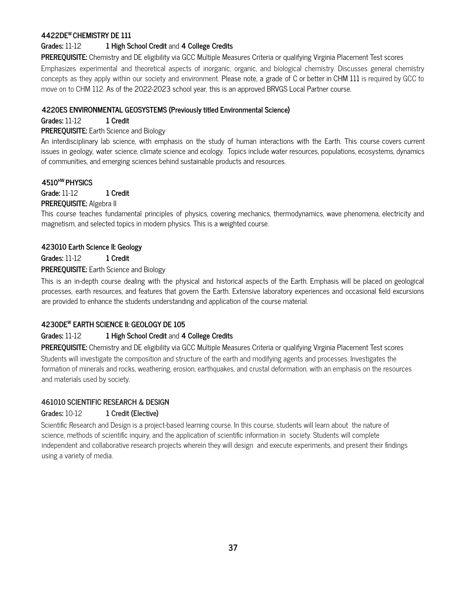# **4422DE <sup>W</sup> CHEMISTRY DE 111**

#### **Grades:** 11-12 **1 High School Credit** and **4 College Credits**

**PREREQUISITE:** Chemistry and DE eligibility via GCC Multiple Measures Criteria or qualifying Virginia Placement Test scores

Emphasizes experimental and theoretical aspects of inorganic, organic, and biological chemistry. Discusses general chemistry concepts as they apply within our society and environment. Please note, a grade of C or better in CHM 111 is required by GCC to move on to CHM 112. As of the 2022-2023 school year, this is an approved BRVGS Local Partner course.

#### **4220ES ENVIRONMENTAL GEOSYSTEMS (Previously titled Environmental Science)**

**Grades:** 11-12 **1 Credit**

#### **PREREQUISITE:** Earth Science and Biology

An interdisciplinary lab science, with emphasis on the study of human interactions with the Earth. This course covers current issues in geology, water science, climate science and ecology. Topics include water resources, populations, ecosystems, dynamics of communities, and emerging sciences behind sustainable products and resources.

# **4510 HW PHYSICS**

**Grade:** 11-12 **1 Credit**

#### **PREREQUISITE:** Algebra II

This course teaches fundamental principles of physics, covering mechanics, thermodynamics, wave phenomena, electricity and magnetism, and selected topics in modern physics. This is a weighted course.

#### **423010 Earth Science II: Geology**

**Grades:** 11-12 **1 Credit**

#### **PREREQUISITE:** Earth Science and Biology

This is an in-depth course dealing with the physical and historical aspects of the Earth. Emphasis will be placed on geological processes, earth resources, and features that govern the Earth. Extensive laboratory experiences and occasional field excursions are provided to enhance the students understanding and application of the course material.

# **4230DE <sup>W</sup> EARTH SCIENCE II: GEOLOGY DE 105**

#### **Grades:** 11-12 **1 High School Credit** and **4 College Credits**

**PREREQUISITE:** Chemistry and DE eligibility via GCC Multiple Measures Criteria or qualifying Virginia Placement Test scores Students will investigate the composition and structure of the earth and modifying agents and processes. Investigates the formation of minerals and rocks, weathering, erosion, earthquakes, and crustal deformation, with an emphasis on the resources and materials used by society.

#### **461010 SCIENTIFIC RESEARCH & DESIGN**

#### **Grades:** 10-12 **1 Credit (Elective)**

Scientific Research and Design is a project-based learning course. In this course, students will learn about the nature of science, methods of scientific inquiry, and the application of scientific information in society. Students will complete independent and collaborative research projects wherein they will design and execute experiments, and present their findings using a variety of media.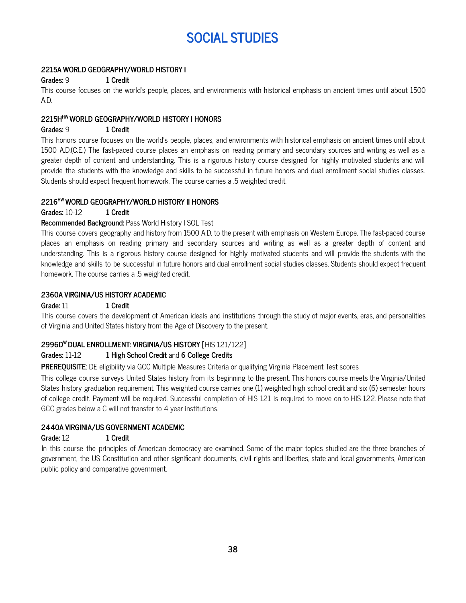# **SOCIAL STUDIES**

# **2215A WORLD GEOGRAPHY/WORLD HISTORY I**

#### **Grades:** 9 **1 Credit**

This course focuses on the world's people, places, and environments with historical emphasis on ancient times until about 1500 A.D.

#### **2215H HW WORLD GEOGRAPHY/WORLD HISTORY I HONORS**

#### **Grades:** 9 **1 Credit**

This honors course focuses on the world's people, places, and environments with historical emphasis on ancient times until about 1500 A.D.(C.E.) The fast-paced course places an emphasis on reading primary and secondary sources and writing as well as a greater depth of content and understanding. This is a rigorous history course designed for highly motivated students and will provide the students with the knowledge and skills to be successful in future honors and dual enrollment social studies classes. Students should expect frequent homework. The course carries a .5 weighted credit.

### **2216 HW WORLD GEOGRAPHY/WORLD HISTORY II HONORS**

#### **Grades:** 10-12 **1 Credit**

#### **Recommended Background:** Pass World History I SOL Test

This course covers geography and history from 1500 A.D. to the present with emphasis on Western Europe. The fast-paced course places an emphasis on reading primary and secondary sources and writing as well as a greater depth of content and understanding. This is a rigorous history course designed for highly motivated students and will provide the students with the knowledge and skills to be successful in future honors and dual enrollment social studies classes. Students should expect frequent homework. The course carries a .5 weighted credit.

#### **2360A VIRGINIA/US HISTORY ACADEMIC**

**Grade:** 11 **1 Credit**

This course covers the development of American ideals and institutions through the study of major events, eras, and personalities of Virginia and United States history from the Age of Discovery to the present.

#### **2996D <sup>W</sup> DUAL ENROLLMENT: VIRGINIA/US HISTORY [**HIS 121/122]

#### **Grades:** 11-12 **1 High School Credit** and **6 College Credits**

**PREREQUISITE**: DE eligibility via GCC Multiple Measures Criteria or qualifying Virginia Placement Test scores

This college course surveys United States history from its beginning to the present. This honors course meets the Virginia/United States history graduation requirement. This weighted course carries one (1) weighted high school credit and six (6) semester hours of college credit. Payment will be required. Successful completion of HIS 121 is required to move on to HIS 122. Please note that GCC grades below a C will not transfer to 4 year institutions.

# **2440A VIRGINIA/US GOVERNMENT ACADEMIC**

#### **Grade:** 12 **1 Credit**

In this course the principles of American democracy are examined. Some of the major topics studied are the three branches of government, the US Constitution and other significant documents, civil rights and liberties, state and local governments, American public policy and comparative government.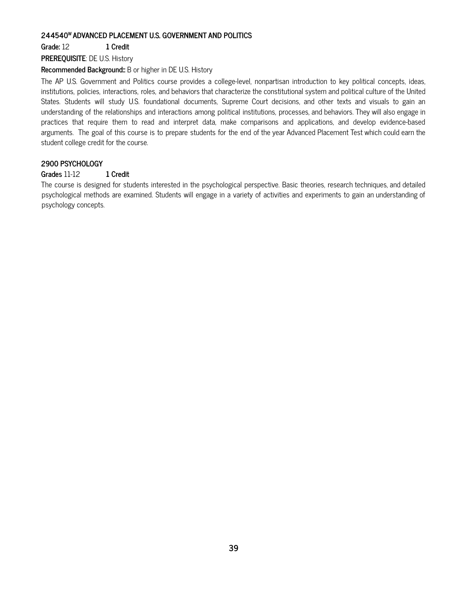### **244540 <sup>W</sup> ADVANCED PLACEMENT U.S. GOVERNMENT AND POLITICS**

**Grade:** 12 **1 Credit**

**PREREQUISITE**: DE U.S. History

#### **Recommended Background::** B or higher in DE U.S. History

The AP U.S. Government and Politics course provides a college-level, nonpartisan introduction to key political concepts, ideas, institutions, policies, interactions, roles, and behaviors that characterize the constitutional system and political culture of the United States. Students will study U.S. foundational documents, Supreme Court decisions, and other texts and visuals to gain an understanding of the relationships and interactions among political institutions, processes, and behaviors. They will also engage in practices that require them to read and interpret data, make comparisons and applications, and develop evidence-based arguments. The goal of this course is to prepare students for the end of the year Advanced Placement Test which could earn the student college credit for the course.

#### **2900 PSYCHOLOGY**

#### **Grades** 11-12 **1 Credit**

The course is designed for students interested in the psychological perspective. Basic theories, research techniques, and detailed psychological methods are examined. Students will engage in a variety of activities and experiments to gain an understanding of psychology concepts.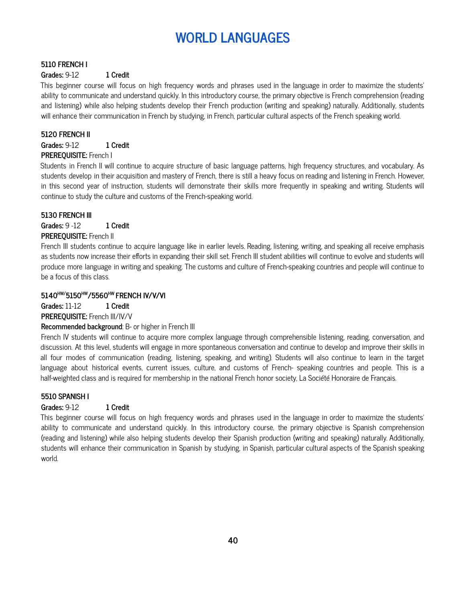# **WORLD LANGUAGES**

# **5110 FRENCH I**

#### **Grades:** 9-12 **1 Credit**

This beginner course will focus on high frequency words and phrases used in the language in order to maximize the students' ability to communicate and understand quickly. In this introductory course, the primary objective is French comprehension (reading and listening) while also helping students develop their French production (writing and speaking) naturally. Additionally, students will enhance their communication in French by studying, in French, particular cultural aspects of the French speaking world.

#### **5120 FRENCH II**

**Grades:** 9-12 **1 Credit**

# **PREREQUISITE:** French I

Students in French II will continue to acquire structure of basic language patterns, high frequency structures, and vocabulary. As students develop in their acquisition and mastery of French, there is still a heavy focus on reading and listening in French. However, in this second year of instruction, students will demonstrate their skills more frequently in speaking and writing. Students will continue to study the culture and customs of the French-speaking world.

# **5130 FRENCH III**

**Grades:** 9 -12 **1 Credit**

# **PREREQUISITE:** French II

French III students continue to acquire language like in earlier levels. Reading, listening, writing, and speaking all receive emphasis as students now increase their efforts in expanding their skill set. French III student abilities will continue to evolve and students will produce more language in writing and speaking. The customs and culture of French-speaking countries and people will continue to be a focus of this class.

# **5140 HW/5150 HW/5560 HW FRENCH IV/V/VI**

**Grades:** 11-12 **1 Credit**

**PREREQUISITE:** French III/IV/V

#### **Recommended background**: B- or higher in French III

French IV students will continue to acquire more complex language through comprehensible listening, reading, conversation, and discussion. At this level, students will engage in more spontaneous conversation and continue to develop and improve their skills in all four modes of communication (reading, listening, speaking, and writing). Students will also continue to learn in the target language about historical events, current issues, culture, and customs of French- speaking countries and people. This is a half-weighted class and is required for membership in the national French honor society, La Société Honoraire de Français.

#### **5510 SPANISH I**

# **Grades:** 9-12 **1 Credit**

This beginner course will focus on high frequency words and phrases used in the language in order to maximize the students' ability to communicate and understand quickly. In this introductory course, the primary objective is Spanish comprehension (reading and listening) while also helping students develop their Spanish production (writing and speaking) naturally. Additionally, students will enhance their communication in Spanish by studying, in Spanish, particular cultural aspects of the Spanish speaking world.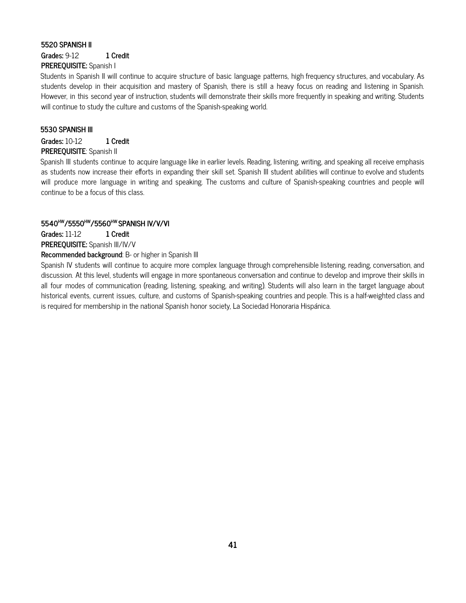# **5520 SPANISH II Grades:** 9-12 **1 Credit PREREQUISITE:** Spanish I

Students in Spanish II will continue to acquire structure of basic language patterns, high frequency structures, and vocabulary. As students develop in their acquisition and mastery of Spanish, there is still a heavy focus on reading and listening in Spanish. However, in this second year of instruction, students will demonstrate their skills more frequently in speaking and writing. Students will continue to study the culture and customs of the Spanish-speaking world.

#### **5530 SPANISH III**

# **Grades:** 10-12 **1 Credit**

#### **PREREQUISITE**: Spanish II

Spanish III students continue to acquire language like in earlier levels. Reading, listening, writing, and speaking all receive emphasis as students now increase their efforts in expanding their skill set. Spanish III student abilities will continue to evolve and students will produce more language in writing and speaking. The customs and culture of Spanish-speaking countries and people will continue to be a focus of this class.

# **5540 HW/5550 HW/5560 HW SPANISH IV/V/VI**

**Grades:** 11-12 **1 Credit**

**PREREQUISITE:** Spanish III/IV/V

#### **Recommended background**: B- or higher in Spanish III

Spanish IV students will continue to acquire more complex language through comprehensible listening, reading, conversation, and discussion. At this level, students will engage in more spontaneous conversation and continue to develop and improve their skills in all four modes of communication (reading, listening, speaking, and writing). Students will also learn in the target language about historical events, current issues, culture, and customs of Spanish-speaking countries and people. This is a half-weighted class and is required for membership in the national Spanish honor society, La Sociedad Honoraria Hispánica.